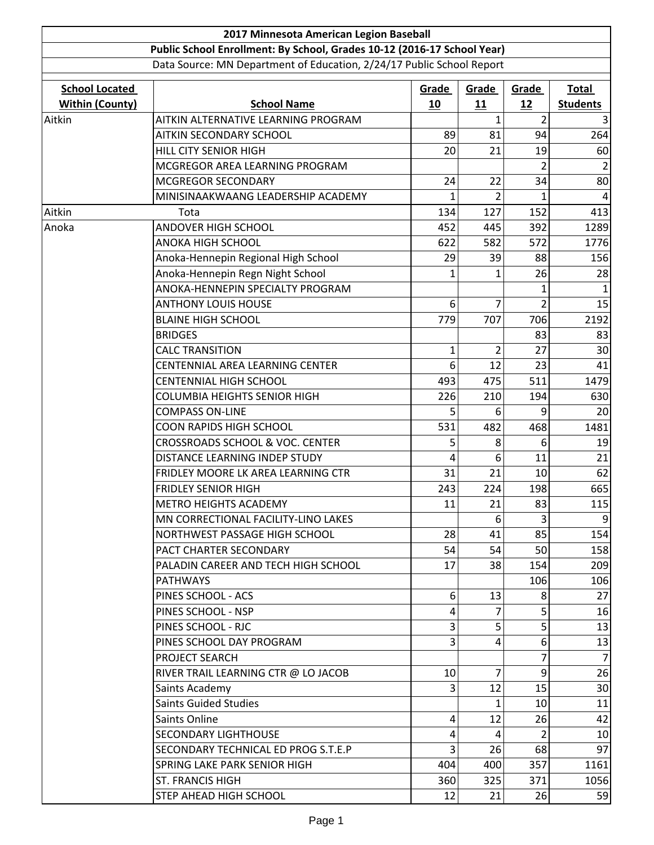| 2017 Minnesota American Legion Baseball                                 |                                            |       |                |                |                 |  |  |  |
|-------------------------------------------------------------------------|--------------------------------------------|-------|----------------|----------------|-----------------|--|--|--|
| Public School Enrollment: By School, Grades 10-12 (2016-17 School Year) |                                            |       |                |                |                 |  |  |  |
| Data Source: MN Department of Education, 2/24/17 Public School Report   |                                            |       |                |                |                 |  |  |  |
| <b>School Located</b>                                                   |                                            | Grade | Grade          | Grade          | <b>Total</b>    |  |  |  |
| <b>Within (County)</b>                                                  | <b>School Name</b>                         | 10    | 11             | 12             | <b>Students</b> |  |  |  |
| Aitkin                                                                  | AITKIN ALTERNATIVE LEARNING PROGRAM        |       | 1              | $\overline{2}$ |                 |  |  |  |
|                                                                         | <b>AITKIN SECONDARY SCHOOL</b>             | 89    | 81             | 94             | 264             |  |  |  |
|                                                                         | <b>HILL CITY SENIOR HIGH</b>               | 20    | 21             | 19             | 60              |  |  |  |
|                                                                         | MCGREGOR AREA LEARNING PROGRAM             |       |                |                |                 |  |  |  |
|                                                                         | MCGREGOR SECONDARY                         | 24    | 22             | 34             | 80              |  |  |  |
|                                                                         | MINISINAAKWAANG LEADERSHIP ACADEMY         | 1     | $\overline{2}$ | 1              | 4               |  |  |  |
| Aitkin                                                                  | Tota                                       | 134   | 127            | 152            | 413             |  |  |  |
| Anoka                                                                   | <b>ANDOVER HIGH SCHOOL</b>                 | 452   | 445            | 392            | 1289            |  |  |  |
|                                                                         | <b>ANOKA HIGH SCHOOL</b>                   | 622   | 582            | 572            | 1776            |  |  |  |
|                                                                         | Anoka-Hennepin Regional High School        | 29    | 39             | 88             | 156             |  |  |  |
|                                                                         | Anoka-Hennepin Regn Night School           | 1     | 1              | 26             | 28              |  |  |  |
|                                                                         | ANOKA-HENNEPIN SPECIALTY PROGRAM           |       |                |                |                 |  |  |  |
|                                                                         | <b>ANTHONY LOUIS HOUSE</b>                 | 6     | 7              | 2              | 15              |  |  |  |
|                                                                         | <b>BLAINE HIGH SCHOOL</b>                  | 779   | 707            | 706            | 2192            |  |  |  |
|                                                                         | <b>BRIDGES</b>                             |       |                | 83             | 83              |  |  |  |
|                                                                         | <b>CALC TRANSITION</b>                     | 1     | $\overline{2}$ | 27             | 30              |  |  |  |
|                                                                         | CENTENNIAL AREA LEARNING CENTER            | 6     | 12             | 23             | 41              |  |  |  |
|                                                                         | <b>CENTENNIAL HIGH SCHOOL</b>              | 493   | 475            | 511            | 1479            |  |  |  |
|                                                                         | <b>COLUMBIA HEIGHTS SENIOR HIGH</b>        | 226   | 210            | 194            | 630             |  |  |  |
|                                                                         | <b>COMPASS ON-LINE</b>                     | 5     | 6              | 9              | 20              |  |  |  |
|                                                                         | <b>COON RAPIDS HIGH SCHOOL</b>             | 531   | 482            | 468            | 1481            |  |  |  |
|                                                                         | <b>CROSSROADS SCHOOL &amp; VOC. CENTER</b> | 5     | 8              | 6              | 19              |  |  |  |
|                                                                         | DISTANCE LEARNING INDEP STUDY              | 4     | 6              | 11             | 21              |  |  |  |
|                                                                         | FRIDLEY MOORE LK AREA LEARNING CTR         | 31    | 21             | 10             | 62              |  |  |  |
|                                                                         | <b>FRIDLEY SENIOR HIGH</b>                 | 243   | 224            | 198            | 665             |  |  |  |
|                                                                         | METRO HEIGHTS ACADEMY                      | 11    | 21             | 83             | 115             |  |  |  |
|                                                                         | MN CORRECTIONAL FACILITY-LINO LAKES        |       | 6              | 3              | 9               |  |  |  |
|                                                                         | NORTHWEST PASSAGE HIGH SCHOOL              | 28    | 41             | 85             | 154             |  |  |  |
|                                                                         | PACT CHARTER SECONDARY                     | 54    | 54             | 50             | 158             |  |  |  |
|                                                                         | PALADIN CAREER AND TECH HIGH SCHOOL        | 17    | 38             | 154            | 209             |  |  |  |
|                                                                         | <b>PATHWAYS</b>                            |       |                | 106            | 106             |  |  |  |
|                                                                         | PINES SCHOOL - ACS                         | 6     | 13             | 8              | 27              |  |  |  |
|                                                                         | PINES SCHOOL - NSP                         | 4     | 7              | 5              | 16              |  |  |  |
|                                                                         | PINES SCHOOL - RJC                         | 3     | 5              | 5              | 13              |  |  |  |
|                                                                         | PINES SCHOOL DAY PROGRAM                   | 3     | 4              | 6              | 13              |  |  |  |
|                                                                         | PROJECT SEARCH                             |       |                |                | $\overline{7}$  |  |  |  |
|                                                                         | RIVER TRAIL LEARNING CTR @ LO JACOB        | 10    | 7              | 9              | 26              |  |  |  |
|                                                                         | Saints Academy                             | 3     | 12             | 15             | 30              |  |  |  |
|                                                                         | <b>Saints Guided Studies</b>               |       | 1              | 10             | 11              |  |  |  |
|                                                                         | Saints Online                              | 4     | 12             | 26             | 42              |  |  |  |
|                                                                         | <b>SECONDARY LIGHTHOUSE</b>                | 4     | 4              | $\overline{2}$ | 10              |  |  |  |
|                                                                         | SECONDARY TECHNICAL ED PROG S.T.E.P        | 3     | 26             | 68             | 97              |  |  |  |
|                                                                         | SPRING LAKE PARK SENIOR HIGH               | 404   | 400            | 357            | 1161            |  |  |  |
|                                                                         | <b>ST. FRANCIS HIGH</b>                    | 360   | 325            | 371            | 1056            |  |  |  |
|                                                                         | STEP AHEAD HIGH SCHOOL                     | 12    | 21             | 26             | 59              |  |  |  |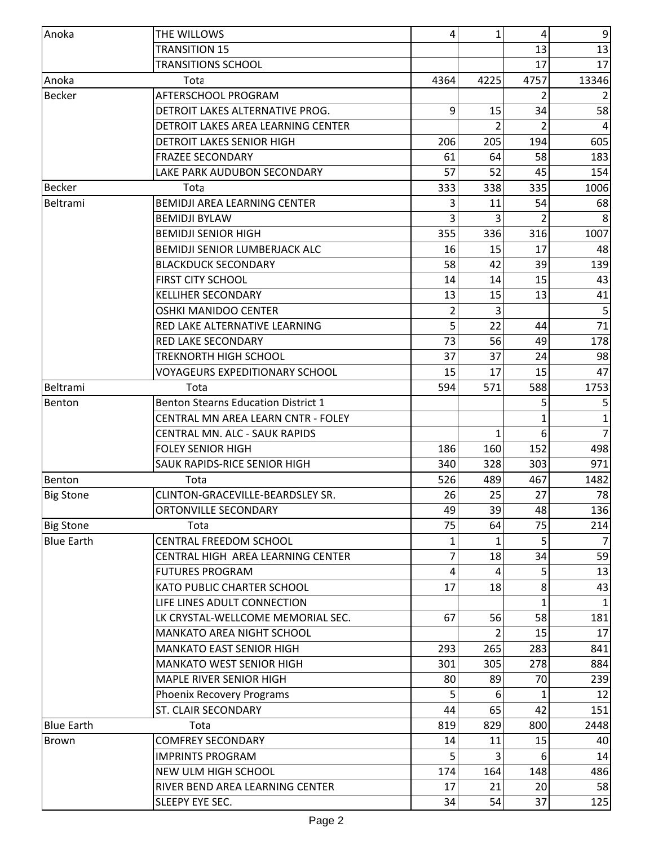| Anoka             | THE WILLOWS                                | 4    | 1    | 4             | 9              |
|-------------------|--------------------------------------------|------|------|---------------|----------------|
|                   | <b>TRANSITION 15</b>                       |      |      | 13            | 13             |
|                   | <b>TRANSITIONS SCHOOL</b>                  |      |      | 17            | 17             |
|                   |                                            |      |      |               |                |
| Anoka             | Tota                                       | 4364 | 4225 | 4757          | 13346          |
| <b>Becker</b>     | AFTERSCHOOL PROGRAM                        |      |      |               |                |
|                   | DETROIT LAKES ALTERNATIVE PROG.            | 9    | 15   | 34            | 58             |
|                   | DETROIT LAKES AREA LEARNING CENTER         |      |      |               |                |
|                   | DETROIT LAKES SENIOR HIGH                  | 206  | 205  | 194           | 605            |
|                   | <b>FRAZEE SECONDARY</b>                    | 61   | 64   | 58            | 183            |
|                   | LAKE PARK AUDUBON SECONDARY                | 57   | 52   | 45            | 154            |
| <b>Becker</b>     | Tota                                       | 333  | 338  | 335           | 1006           |
| Beltrami          | <b>BEMIDJI AREA LEARNING CENTER</b>        | 3    | 11   | 54            | 68             |
|                   | <b>BEMIDJI BYLAW</b>                       | 3    | 3    | $\mathcal{P}$ |                |
|                   | <b>BEMIDJI SENIOR HIGH</b>                 | 355  | 336  | 316           | 1007           |
|                   | <b>BEMIDJI SENIOR LUMBERJACK ALC</b>       | 16   | 15   | 17            | 48             |
|                   | <b>BLACKDUCK SECONDARY</b>                 | 58   | 42   | 39            | 139            |
|                   | <b>FIRST CITY SCHOOL</b>                   | 14   | 14   | 15            | 43             |
|                   | <b>KELLIHER SECONDARY</b>                  | 13   | 15   | 13            | 41             |
|                   | <b>OSHKI MANIDOO CENTER</b>                | 2    | 3    |               | 5              |
|                   | RED LAKE ALTERNATIVE LEARNING              | 5    | 22   | 44            | 71             |
|                   | <b>RED LAKE SECONDARY</b>                  | 73   | 56   | 49            | 178            |
|                   | <b>TREKNORTH HIGH SCHOOL</b>               | 37   | 37   | 24            | 98             |
|                   | <b>VOYAGEURS EXPEDITIONARY SCHOOL</b>      | 15   | 17   | 15            | 47             |
| Beltrami          | Tota                                       | 594  | 571  | 588           | 1753           |
| Benton            | <b>Benton Stearns Education District 1</b> |      |      |               |                |
|                   | CENTRAL MN AREA LEARN CNTR - FOLEY         |      |      |               | 1              |
|                   | <b>CENTRAL MN. ALC - SAUK RAPIDS</b>       |      | 1    | 6             | $\overline{7}$ |
|                   | <b>FOLEY SENIOR HIGH</b>                   | 186  | 160  | 152           | 498            |
|                   | <b>SAUK RAPIDS-RICE SENIOR HIGH</b>        | 340  | 328  | 303           | 971            |
| Benton            | Tota                                       | 526  | 489  | 467           | 1482           |
| <b>Big Stone</b>  | CLINTON-GRACEVILLE-BEARDSLEY SR.           | 26   | 25   | 27            | 78             |
|                   | <b>ORTONVILLE SECONDARY</b>                | 49   | 39   | 48            | 136            |
| <b>Big Stone</b>  | Tota                                       | 75   | 64   | 75            | 214            |
| <b>Blue Earth</b> | CENTRAL FREEDOM SCHOOL                     | 1    | 1    |               |                |
|                   | CENTRAL HIGH AREA LEARNING CENTER          | 7    | 18   | 34            | 59             |
|                   | <b>FUTURES PROGRAM</b>                     | 4    | 4    | 5             | 13             |
|                   | <b>KATO PUBLIC CHARTER SCHOOL</b>          | 17   | 18   | 8             | 43             |
|                   | LIFE LINES ADULT CONNECTION                |      |      |               |                |
|                   | LK CRYSTAL-WELLCOME MEMORIAL SEC.          | 67   | 56   | 58            | 181            |
|                   | <b>MANKATO AREA NIGHT SCHOOL</b>           |      |      | 15            | 17             |
|                   | <b>MANKATO EAST SENIOR HIGH</b>            | 293  | 265  | 283           | 841            |
|                   | <b>MANKATO WEST SENIOR HIGH</b>            | 301  | 305  | 278           | 884            |
|                   | <b>MAPLE RIVER SENIOR HIGH</b>             | 80   | 89   | 70            |                |
|                   |                                            |      |      |               | 239            |
|                   | Phoenix Recovery Programs                  |      | 6    |               | 12             |
|                   | ST. CLAIR SECONDARY                        | 44   | 65   | 42            | 151            |
| <b>Blue Earth</b> | Tota                                       | 819  | 829  | 800           | 2448           |
| Brown             | <b>COMFREY SECONDARY</b>                   | 14   | 11   | 15            | 40             |
|                   | <b>IMPRINTS PROGRAM</b>                    |      |      |               | 14             |
|                   | NEW ULM HIGH SCHOOL                        | 174  | 164  | 148           | 486            |
|                   | RIVER BEND AREA LEARNING CENTER            | 17   | 21   | 20            | 58             |
|                   | SLEEPY EYE SEC.                            | 34   | 54   | 37            | 125            |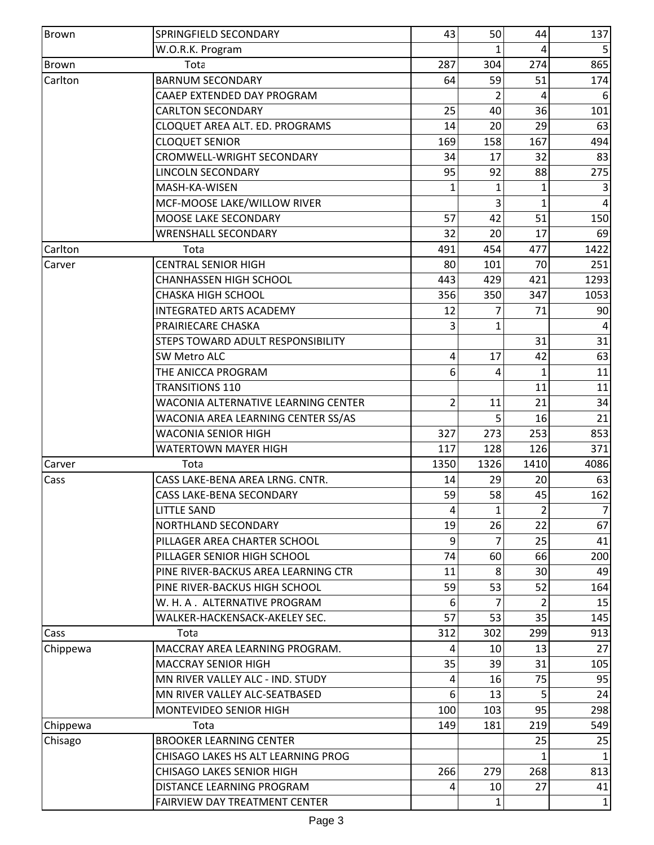| <b>Brown</b> | SPRINGFIELD SECONDARY                      | 43   | 50           | 44            | 137            |
|--------------|--------------------------------------------|------|--------------|---------------|----------------|
|              | W.O.R.K. Program                           |      |              |               |                |
| <b>Brown</b> | Tota                                       | 287  | 304          | 274           | 865            |
| Carlton      | <b>BARNUM SECONDARY</b>                    | 64   | 59           | 51            | 174            |
|              | CAAEP EXTENDED DAY PROGRAM                 |      |              |               |                |
|              | <b>CARLTON SECONDARY</b>                   | 25   | 40           | 36            | 101            |
|              | CLOQUET AREA ALT. ED. PROGRAMS             | 14   | 20           | 29            | 63             |
|              | <b>CLOQUET SENIOR</b>                      | 169  | 158          | 167           | 494            |
|              | CROMWELL-WRIGHT SECONDARY                  | 34   | 17           | 32            | 83             |
|              | <b>LINCOLN SECONDARY</b>                   | 95   | 92           | 88            | 275            |
|              | MASH-KA-WISEN                              | 1    | 1            |               | 3              |
|              | MCF-MOOSE LAKE/WILLOW RIVER                |      | 3            | 1             |                |
|              | MOOSE LAKE SECONDARY                       | 57   | 42           | 51            | 150            |
|              | <b>WRENSHALL SECONDARY</b>                 | 32   | 20           | 17            | 69             |
| Carlton      | Tota                                       | 491  | 454          | 477           | 1422           |
| Carver       | <b>CENTRAL SENIOR HIGH</b>                 | 80   | 101          | 70            | 251            |
|              | <b>CHANHASSEN HIGH SCHOOL</b>              | 443  | 429          | 421           | 1293           |
|              | <b>CHASKA HIGH SCHOOL</b>                  | 356  | 350          | 347           | 1053           |
|              | <b>INTEGRATED ARTS ACADEMY</b>             | 12   |              | 71            | 90             |
|              | PRAIRIECARE CHASKA                         | 3    | 1            |               |                |
|              | STEPS TOWARD ADULT RESPONSIBILITY          |      |              | 31            | 31             |
|              | <b>SW Metro ALC</b>                        | 4    | 17           | 42            | 63             |
|              | THE ANICCA PROGRAM                         | 6    | 4            | 1             | 11             |
|              | <b>TRANSITIONS 110</b>                     |      |              | 11            | 11             |
|              | <b>WACONIA ALTERNATIVE LEARNING CENTER</b> | 2    | 11           | 21            | 34             |
|              | WACONIA AREA LEARNING CENTER SS/AS         |      | 5            | 16            | 21             |
|              | <b>WACONIA SENIOR HIGH</b>                 | 327  | 273          | 253           | 853            |
|              | <b>WATERTOWN MAYER HIGH</b>                | 117  | 128          | 126           | 371            |
| Carver       | Tota                                       | 1350 | 1326         | 1410          | 4086           |
| Cass         | CASS LAKE-BENA AREA LRNG. CNTR.            | 14   | 29           | 20            | 63             |
|              | <b>CASS LAKE-BENA SECONDARY</b>            | 59   | 58           | 45            | 162            |
|              | <b>LITTLE SAND</b>                         | 4    | $\mathbf{1}$ | 2             | $\overline{7}$ |
|              | <b>NORTHLAND SECONDARY</b>                 | 19   | 26           | 22            | 67             |
|              | PILLAGER AREA CHARTER SCHOOL               | 9    | 7            | 25            | 41             |
|              | PILLAGER SENIOR HIGH SCHOOL                | 74   | 60           | 66            | 200            |
|              | PINE RIVER-BACKUS AREA LEARNING CTR        | 11   | 8            | 30            | 49             |
|              | PINE RIVER-BACKUS HIGH SCHOOL              | 59   | 53           | 52            | 164            |
|              | W. H. A. ALTERNATIVE PROGRAM               | 6    |              | $\mathcal{P}$ | 15             |
|              | WALKER-HACKENSACK-AKELEY SEC.              | 57   | 53           | 35            | 145            |
| Cass         | Tota                                       | 312  | 302          | 299           | 913            |
| Chippewa     | MACCRAY AREA LEARNING PROGRAM.             | 4    | 10           | 13            | 27             |
|              | <b>MACCRAY SENIOR HIGH</b>                 | 35   | 39           | 31            | 105            |
|              | MN RIVER VALLEY ALC - IND. STUDY           | 4    | 16           | 75            | 95             |
|              | MN RIVER VALLEY ALC-SEATBASED              | 6    | 13           |               | 24             |
|              | MONTEVIDEO SENIOR HIGH                     | 100  | 103          | 95            | 298            |
| Chippewa     | Tota                                       | 149  | 181          | 219           | 549            |
| Chisago      | <b>BROOKER LEARNING CENTER</b>             |      |              | 25            | 25             |
|              | CHISAGO LAKES HS ALT LEARNING PROG         |      |              |               |                |
|              | <b>CHISAGO LAKES SENIOR HIGH</b>           | 266  | 279          | 268           | 813            |
|              | DISTANCE LEARNING PROGRAM                  | 4    | 10           | 27            | 41             |
|              | FAIRVIEW DAY TREATMENT CENTER              |      | 1            |               | $\mathbf{1}$   |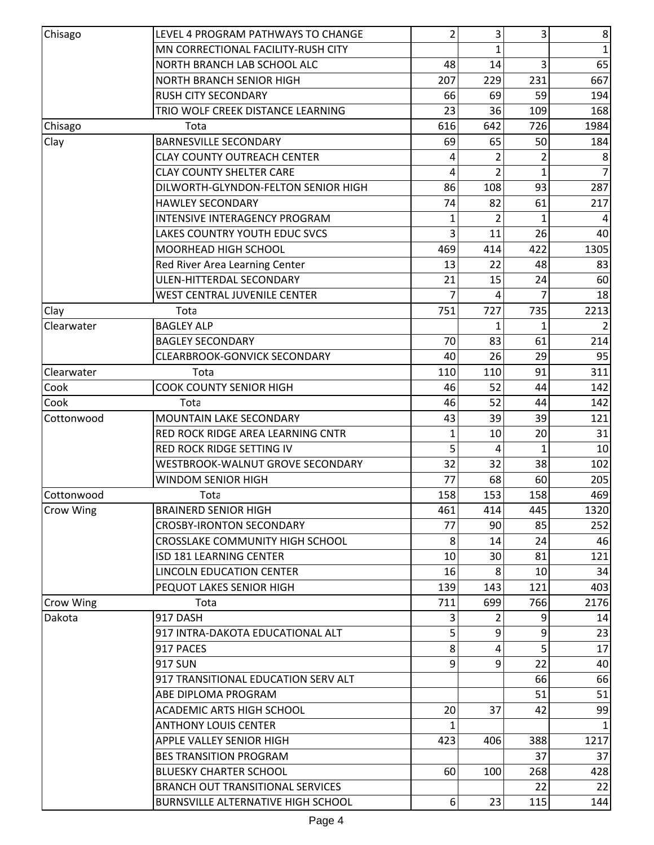| Chisago          | LEVEL 4 PROGRAM PATHWAYS TO CHANGE        | 2   | 3   | 3   | $\bf 8$        |
|------------------|-------------------------------------------|-----|-----|-----|----------------|
|                  | MN CORRECTIONAL FACILITY-RUSH CITY        |     |     |     | 1              |
|                  | NORTH BRANCH LAB SCHOOL ALC               | 48  | 14  | 3   | 65             |
|                  | NORTH BRANCH SENIOR HIGH                  | 207 | 229 | 231 | 667            |
|                  | <b>RUSH CITY SECONDARY</b>                | 66  | 69  | 59  | 194            |
|                  | TRIO WOLF CREEK DISTANCE LEARNING         | 23  | 36  | 109 | 168            |
| Chisago          | Tota                                      | 616 | 642 | 726 | 1984           |
| Clay             | <b>BARNESVILLE SECONDARY</b>              | 69  | 65  | 50  | 184            |
|                  | <b>CLAY COUNTY OUTREACH CENTER</b>        | 4   | 2   | 2   | 8              |
|                  | <b>CLAY COUNTY SHELTER CARE</b>           | 4   | 2   | 1   | $\overline{7}$ |
|                  | DILWORTH-GLYNDON-FELTON SENIOR HIGH       | 86  | 108 | 93  | 287            |
|                  | <b>HAWLEY SECONDARY</b>                   | 74  | 82  | 61  | 217            |
|                  | INTENSIVE INTERAGENCY PROGRAM             | 1   | 2   | 1   | 4              |
|                  | LAKES COUNTRY YOUTH EDUC SVCS             | 3   | 11  | 26  | 40             |
|                  | MOORHEAD HIGH SCHOOL                      | 469 | 414 | 422 | 1305           |
|                  | Red River Area Learning Center            | 13  | 22  | 48  | 83             |
|                  | ULEN-HITTERDAL SECONDARY                  | 21  | 15  | 24  | 60             |
|                  | <b>WEST CENTRAL JUVENILE CENTER</b>       |     | 4   |     | 18             |
| Clay             | Tota                                      | 751 | 727 | 735 | 2213           |
| Clearwater       | <b>BAGLEY ALP</b>                         |     | 1   | 1   |                |
|                  | <b>BAGLEY SECONDARY</b>                   | 70  | 83  | 61  | 214            |
|                  | CLEARBROOK-GONVICK SECONDARY              | 40  | 26  | 29  | 95             |
| Clearwater       | Tota                                      | 110 | 110 | 91  | 311            |
| Cook             | <b>COOK COUNTY SENIOR HIGH</b>            | 46  | 52  | 44  | 142            |
| Cook             | Tota                                      | 46  | 52  | 44  | 142            |
| Cottonwood       | MOUNTAIN LAKE SECONDARY                   | 43  | 39  | 39  | 121            |
|                  | RED ROCK RIDGE AREA LEARNING CNTR         |     | 10  | 20  | 31             |
|                  | RED ROCK RIDGE SETTING IV                 | 5   | 4   | 1   | 10             |
|                  | WESTBROOK-WALNUT GROVE SECONDARY          | 32  | 32  | 38  | 102            |
|                  | WINDOM SENIOR HIGH                        | 77  | 68  | 60  | 205            |
|                  |                                           |     | 153 |     |                |
| Cottonwood       | Tota<br><b>BRAINERD SENIOR HIGH</b>       | 158 |     | 158 | 469<br>1320    |
| Crow Wing        |                                           | 461 | 414 | 445 |                |
|                  | <b>CROSBY-IRONTON SECONDARY</b>           | 77  | 90  | 85  | 252            |
|                  | CROSSLAKE COMMUNITY HIGH SCHOOL           | 8   | 14  | 24  | 46             |
|                  | <b>ISD 181 LEARNING CENTER</b>            | 10  | 30  | 81  | 121            |
|                  | <b>LINCOLN EDUCATION CENTER</b>           | 16  | 8   | 10  | 34             |
|                  | PEQUOT LAKES SENIOR HIGH                  | 139 | 143 | 121 | 403            |
| <b>Crow Wing</b> | Tota                                      | 711 | 699 | 766 | 2176           |
| Dakota           | 917 DASH                                  | 3   |     | q   | 14             |
|                  | 917 INTRA-DAKOTA EDUCATIONAL ALT          | 5   | 9   | 9   | 23             |
|                  | 917 PACES                                 | 8   | 4   | 5   | 17             |
|                  | <b>917 SUN</b>                            | 9   | 9   | 22  | 40             |
|                  | 917 TRANSITIONAL EDUCATION SERV ALT       |     |     | 66  | 66             |
|                  | ABE DIPLOMA PROGRAM                       |     |     | 51  | 51             |
|                  | <b>ACADEMIC ARTS HIGH SCHOOL</b>          | 20  | 37  | 42  | 99             |
|                  | <b>ANTHONY LOUIS CENTER</b>               | 1   |     |     | 1              |
|                  | <b>APPLE VALLEY SENIOR HIGH</b>           | 423 | 406 | 388 | 1217           |
|                  | <b>BES TRANSITION PROGRAM</b>             |     |     | 37  | 37             |
|                  | <b>BLUESKY CHARTER SCHOOL</b>             | 60  | 100 | 268 | 428            |
|                  | <b>BRANCH OUT TRANSITIONAL SERVICES</b>   |     |     | 22  | 22             |
|                  | <b>BURNSVILLE ALTERNATIVE HIGH SCHOOL</b> | 6   | 23  | 115 | 144            |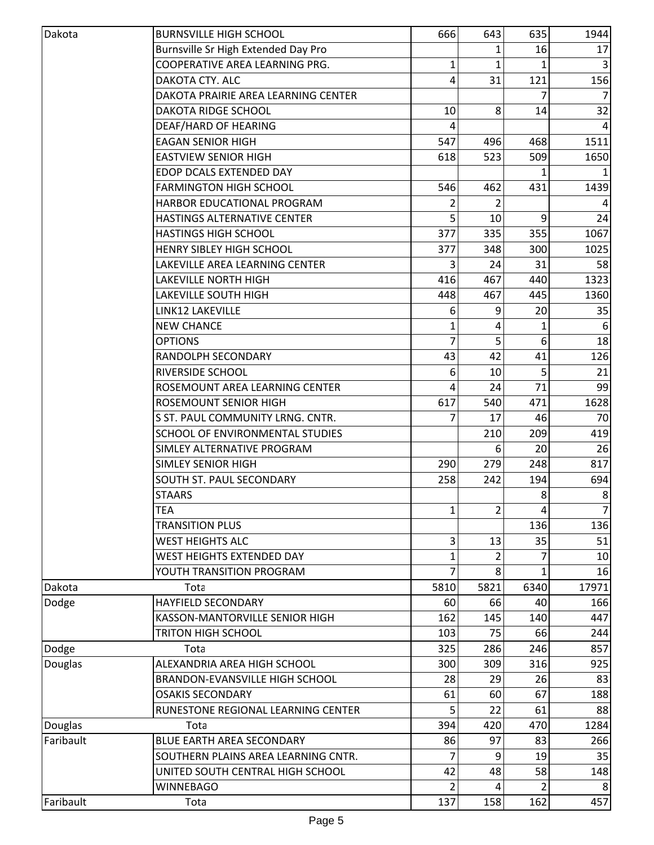| Dakota    | <b>BURNSVILLE HIGH SCHOOL</b>       | 666  | 643  | 635            | 1944           |
|-----------|-------------------------------------|------|------|----------------|----------------|
|           | Burnsville Sr High Extended Day Pro |      |      | 16             | 17             |
|           | COOPERATIVE AREA LEARNING PRG.      | 1    | 1    |                |                |
|           | DAKOTA CTY. ALC                     | 4    | 31   | 121            | 156            |
|           | DAKOTA PRAIRIE AREA LEARNING CENTER |      |      |                |                |
|           | <b>DAKOTA RIDGE SCHOOL</b>          | 10   | 8    | 14             | 32             |
|           | DEAF/HARD OF HEARING                |      |      |                |                |
|           | <b>EAGAN SENIOR HIGH</b>            | 547  | 496  | 468            | 1511           |
|           | <b>EASTVIEW SENIOR HIGH</b>         | 618  | 523  | 509            | 1650           |
|           | EDOP DCALS EXTENDED DAY             |      |      |                |                |
|           | <b>FARMINGTON HIGH SCHOOL</b>       | 546  | 462  | 431            | 1439           |
|           | HARBOR EDUCATIONAL PROGRAM          |      | 2    |                |                |
|           | <b>HASTINGS ALTERNATIVE CENTER</b>  |      | 10   | 9              | 24             |
|           | <b>HASTINGS HIGH SCHOOL</b>         | 377  | 335  | 355            | 1067           |
|           | HENRY SIBLEY HIGH SCHOOL            | 377  | 348  | 300            | 1025           |
|           | LAKEVILLE AREA LEARNING CENTER      | 3    | 24   | 31             | 58             |
|           | LAKEVILLE NORTH HIGH                | 416  | 467  | 440            | 1323           |
|           | <b>LAKEVILLE SOUTH HIGH</b>         | 448  | 467  | 445            | 1360           |
|           | LINK12 LAKEVILLE                    | 6    | 9    | 20             | 35             |
|           | <b>NEW CHANCE</b>                   | 1    | 4    |                |                |
|           | <b>OPTIONS</b>                      | 7    | 5    | 6              | 18             |
|           | RANDOLPH SECONDARY                  | 43   | 42   | 41             | 126            |
|           | RIVERSIDE SCHOOL                    | 6    | 10   | 5              | 21             |
|           | ROSEMOUNT AREA LEARNING CENTER      | 4    | 24   | 71             | 99             |
|           | ROSEMOUNT SENIOR HIGH               | 617  | 540  | 471            | 1628           |
|           | S ST. PAUL COMMUNITY LRNG. CNTR.    | 7    | 17   | 46             | 70             |
|           | SCHOOL OF ENVIRONMENTAL STUDIES     |      | 210  | 209            | 419            |
|           | SIMLEY ALTERNATIVE PROGRAM          |      | 6    | 20             | 26             |
|           | <b>SIMLEY SENIOR HIGH</b>           | 290  | 279  | 248            | 817            |
|           | SOUTH ST. PAUL SECONDARY            | 258  | 242  | 194            | 694            |
|           | <b>STAARS</b>                       |      |      | 8              | 8              |
|           | <b>TEA</b>                          | 1    | 2    | $\overline{4}$ | $\overline{7}$ |
|           | <b>TRANSITION PLUS</b>              |      |      | 136            | 136            |
|           | <b>WEST HEIGHTS ALC</b>             | 3    | 13   | 35             | 51             |
|           | <b>WEST HEIGHTS EXTENDED DAY</b>    | 1    | 2    |                | 10             |
|           | YOUTH TRANSITION PROGRAM            | 7    | 8    |                | 16             |
| Dakota    | Tota                                | 5810 | 5821 | 6340           | 17971          |
| Dodge     | <b>HAYFIELD SECONDARY</b>           | 60   | 66   | 40             | 166            |
|           | KASSON-MANTORVILLE SENIOR HIGH      | 162  | 145  | 140            | 447            |
|           | <b>TRITON HIGH SCHOOL</b>           | 103  | 75   | 66             | 244            |
| Dodge     | Tota                                | 325  | 286  | 246            | 857            |
| Douglas   | ALEXANDRIA AREA HIGH SCHOOL         | 300  | 309  | 316            | 925            |
|           | BRANDON-EVANSVILLE HIGH SCHOOL      | 28   | 29   | 26             | 83             |
|           | <b>OSAKIS SECONDARY</b>             | 61   | 60   | 67             | 188            |
|           | RUNESTONE REGIONAL LEARNING CENTER  | 5    | 22   | 61             | 88             |
| Douglas   | Tota                                | 394  | 420  | 470            | 1284           |
| Faribault | <b>BLUE EARTH AREA SECONDARY</b>    | 86   | 97   | 83             | 266            |
|           | SOUTHERN PLAINS AREA LEARNING CNTR. |      | 9    | 19             | 35             |
|           | UNITED SOUTH CENTRAL HIGH SCHOOL    | 42   | 48   | 58             | 148            |
|           | <b>WINNEBAGO</b>                    | 2    | 4    |                |                |
| Faribault | Tota                                | 137  | 158  | 162            | 457            |
|           |                                     |      |      |                |                |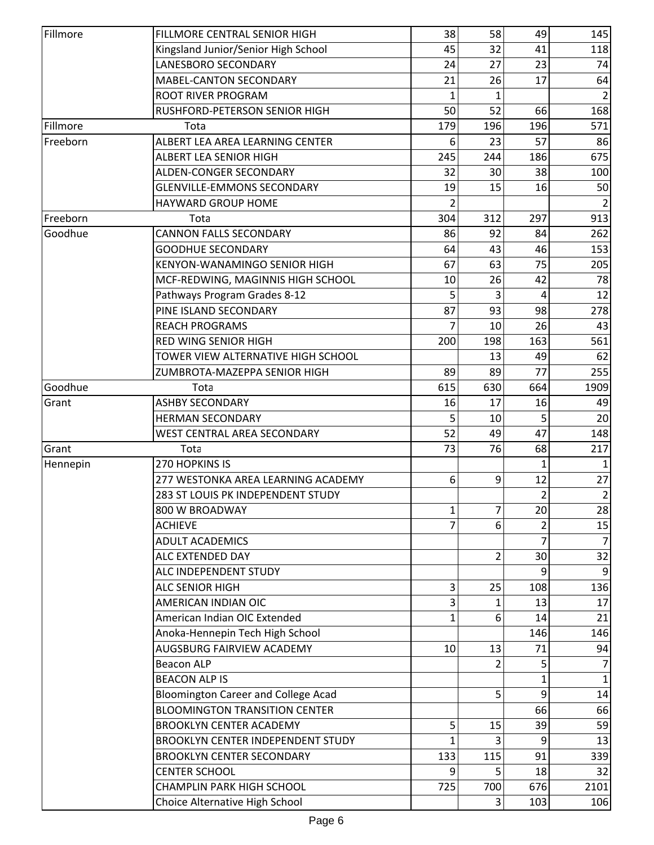| Fillmore | FILLMORE CENTRAL SENIOR HIGH               | 38           | 58  | 49             | 145            |
|----------|--------------------------------------------|--------------|-----|----------------|----------------|
|          | Kingsland Junior/Senior High School        | 45           | 32  | 41             | 118            |
|          | LANESBORO SECONDARY                        | 24           | 27  | 23             | 74             |
|          | MABEL-CANTON SECONDARY                     | 21           | 26  | 17             | 64             |
|          | <b>ROOT RIVER PROGRAM</b>                  |              |     |                |                |
|          | RUSHFORD-PETERSON SENIOR HIGH              | 50           | 52  | 66             | 168            |
| Fillmore | Tota                                       | 179          | 196 | 196            | 571            |
| Freeborn | ALBERT LEA AREA LEARNING CENTER            | 6            | 23  | 57             | 86             |
|          | <b>ALBERT LEA SENIOR HIGH</b>              | 245          | 244 | 186            | 675            |
|          | ALDEN-CONGER SECONDARY                     | 32           | 30  | 38             | 100            |
|          | <b>GLENVILLE-EMMONS SECONDARY</b>          | 19           | 15  | 16             | 50             |
|          | <b>HAYWARD GROUP HOME</b>                  |              |     |                |                |
| Freeborn | Tota                                       | 304          | 312 | 297            | 913            |
| Goodhue  | <b>CANNON FALLS SECONDARY</b>              | 86           | 92  | 84             | 262            |
|          | <b>GOODHUE SECONDARY</b>                   | 64           | 43  | 46             | 153            |
|          | <b>KENYON-WANAMINGO SENIOR HIGH</b>        | 67           | 63  | 75             | 205            |
|          | MCF-REDWING, MAGINNIS HIGH SCHOOL          | 10           | 26  | 42             | 78             |
|          | Pathways Program Grades 8-12               | 5            | 3   | 4              | 12             |
|          | PINE ISLAND SECONDARY                      | 87           | 93  | 98             | 278            |
|          | <b>REACH PROGRAMS</b>                      |              | 10  | 26             | 43             |
|          | <b>RED WING SENIOR HIGH</b>                | 200          | 198 | 163            | 561            |
|          | TOWER VIEW ALTERNATIVE HIGH SCHOOL         |              | 13  | 49             | 62             |
|          | ZUMBROTA-MAZEPPA SENIOR HIGH               | 89           | 89  | 77             | 255            |
| Goodhue  | Tota                                       | 615          | 630 | 664            | 1909           |
| Grant    | <b>ASHBY SECONDARY</b>                     | 16           | 17  | 16             | 49             |
|          | <b>HERMAN SECONDARY</b>                    | 5            | 10  | 5              | 20             |
|          | WEST CENTRAL AREA SECONDARY                | 52           | 49  | 47             | 148            |
| Grant    | Tota                                       | 73           | 76  | 68             | 217            |
| Hennepin | 270 HOPKINS IS                             |              |     | 1              | $\mathbf{1}$   |
|          | 277 WESTONKA AREA LEARNING ACADEMY         | 6            | 9   | 12             | 27             |
|          | 283 ST LOUIS PK INDEPENDENT STUDY          |              |     | $\overline{2}$ | $\overline{2}$ |
|          | 800 W BROADWAY                             | 1            | 7   | 20             | 28             |
|          | <b>ACHIEVE</b>                             |              | 6   |                | 15             |
|          | <b>ADULT ACADEMICS</b>                     |              |     |                | $\overline{7}$ |
|          | ALC EXTENDED DAY                           |              | 2   | 30             | 32             |
|          | ALC INDEPENDENT STUDY                      |              |     | 9              | 9              |
|          | <b>ALC SENIOR HIGH</b>                     | 3            | 25  | 108            | 136            |
|          | AMERICAN INDIAN OIC                        | 3            | 1   | 13             | 17             |
|          | American Indian OIC Extended               | $\mathbf{1}$ | 6   | 14             | 21             |
|          | Anoka-Hennepin Tech High School            |              |     | 146            | 146            |
|          | AUGSBURG FAIRVIEW ACADEMY                  | 10           | 13  | 71             | 94             |
|          | <b>Beacon ALP</b>                          |              |     | 5              | 7              |
|          | <b>BEACON ALP IS</b>                       |              |     |                |                |
|          | <b>Bloomington Career and College Acad</b> |              | 5   | 9              | 14             |
|          | <b>BLOOMINGTON TRANSITION CENTER</b>       |              |     | 66             | 66             |
|          | <b>BROOKLYN CENTER ACADEMY</b>             | 5            | 15  | 39             | 59             |
|          | <b>BROOKLYN CENTER INDEPENDENT STUDY</b>   |              |     | 9              | 13             |
|          | <b>BROOKLYN CENTER SECONDARY</b>           | 133          | 115 | 91             | 339            |
|          | <b>CENTER SCHOOL</b>                       | q            | 5   | 18             | 32             |
|          | <b>CHAMPLIN PARK HIGH SCHOOL</b>           | 725          | 700 | 676            | 2101           |
|          | Choice Alternative High School             |              | 3   | 103            | 106            |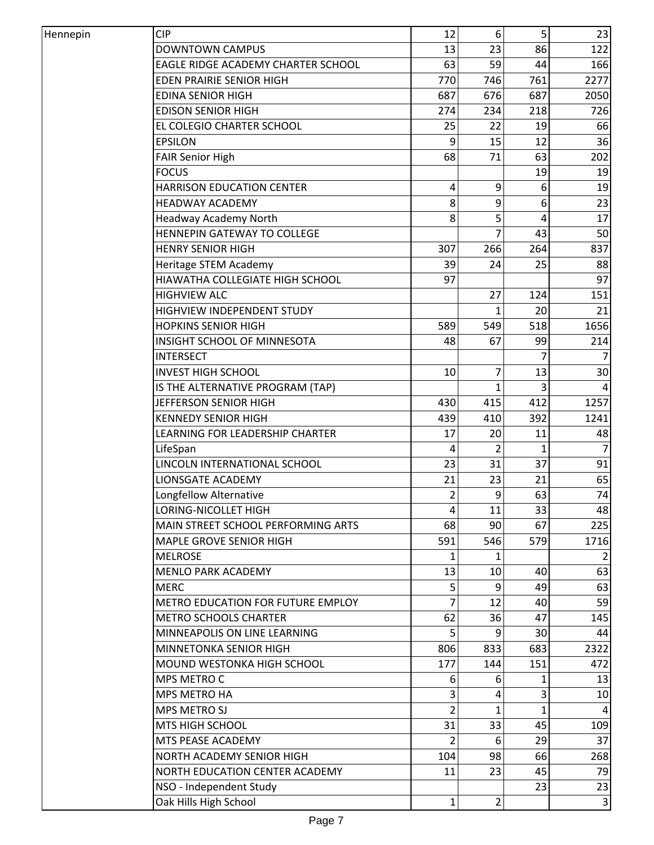| Hennepin | <b>CIP</b>                         | 12             | 6              | 5   | 23             |
|----------|------------------------------------|----------------|----------------|-----|----------------|
|          | DOWNTOWN CAMPUS                    | 13             | 23             | 86  | 122            |
|          | EAGLE RIDGE ACADEMY CHARTER SCHOOL | 63             | 59             | 44  | 166            |
|          | <b>EDEN PRAIRIE SENIOR HIGH</b>    | 770            | 746            | 761 | 2277           |
|          | <b>EDINA SENIOR HIGH</b>           | 687            | 676            | 687 | 2050           |
|          | <b>EDISON SENIOR HIGH</b>          | 274            | 234            | 218 | 726            |
|          | EL COLEGIO CHARTER SCHOOL          | 25             | 22             | 19  | 66             |
|          | <b>EPSILON</b>                     | 9              | 15             | 12  | 36             |
|          | <b>FAIR Senior High</b>            | 68             | 71             | 63  | 202            |
|          | <b>FOCUS</b>                       |                |                | 19  | 19             |
|          | <b>HARRISON EDUCATION CENTER</b>   | 4              | 9              | 6   | 19             |
|          | <b>HEADWAY ACADEMY</b>             | 8              | 9              | 6   | 23             |
|          | Headway Academy North              | 8              | 5              | 4   | 17             |
|          | HENNEPIN GATEWAY TO COLLEGE        |                | 7              | 43  | 50             |
|          | <b>HENRY SENIOR HIGH</b>           | 307            | 266            | 264 | 837            |
|          | Heritage STEM Academy              | 39             | 24             | 25  | 88             |
|          | HIAWATHA COLLEGIATE HIGH SCHOOL    | 97             |                |     | 97             |
|          | <b>HIGHVIEW ALC</b>                |                | 27             | 124 | 151            |
|          | <b>HIGHVIEW INDEPENDENT STUDY</b>  |                | $\mathbf{1}$   | 20  | 21             |
|          | <b>HOPKINS SENIOR HIGH</b>         | 589            | 549            | 518 | 1656           |
|          | INSIGHT SCHOOL OF MINNESOTA        | 48             | 67             | 99  | 214            |
|          | <b>INTERSECT</b>                   |                |                |     |                |
|          | <b>INVEST HIGH SCHOOL</b>          | 10             | 7              | 13  | 30             |
|          | IS THE ALTERNATIVE PROGRAM (TAP)   |                | $\mathbf{1}$   | 3   | 4              |
|          | JEFFERSON SENIOR HIGH              | 430            | 415            | 412 | 1257           |
|          | <b>KENNEDY SENIOR HIGH</b>         | 439            | 410            | 392 | 1241           |
|          | LEARNING FOR LEADERSHIP CHARTER    | 17             | 20             | 11  | 48             |
|          | LifeSpan                           | 4              | 2              | 1   | $\overline{7}$ |
|          | LINCOLN INTERNATIONAL SCHOOL       | 23             | 31             | 37  | 91             |
|          | <b>LIONSGATE ACADEMY</b>           | 21             | 23             | 21  | 65             |
|          | Longfellow Alternative             | $\overline{2}$ | 9              | 63  | 74             |
|          | LORING-NICOLLET HIGH               | 4              | 11             | 33  | 48             |
|          | MAIN STREET SCHOOL PERFORMING ARTS | 68             | 90             | 67  | 225            |
|          | MAPLE GROVE SENIOR HIGH            | 591            | 546            | 579 | 1716           |
|          | <b>MELROSE</b>                     | 1              | 1              |     |                |
|          | <b>MENLO PARK ACADEMY</b>          | 13             | 10             | 40  | 63             |
|          | <b>MERC</b>                        | 5              | 9              | 49  | 63             |
|          | METRO EDUCATION FOR FUTURE EMPLOY  | 7              | 12             | 40  | 59             |
|          | <b>METRO SCHOOLS CHARTER</b>       | 62             | 36             | 47  | 145            |
|          | MINNEAPOLIS ON LINE LEARNING       | 5              | 9              | 30  | 44             |
|          | MINNETONKA SENIOR HIGH             | 806            | 833            | 683 | 2322           |
|          | MOUND WESTONKA HIGH SCHOOL         | 177            | 144            | 151 | 472            |
|          | MPS METRO C                        | 6              | 6              |     | 13             |
|          | MPS METRO HA                       | 3              | 4              | 3   | 10             |
|          | MPS METRO SJ                       | 2              | 1              |     | 4              |
|          | MTS HIGH SCHOOL                    | 31             | 33             | 45  | 109            |
|          | MTS PEASE ACADEMY                  | 2              | 6              | 29  | 37             |
|          | NORTH ACADEMY SENIOR HIGH          | 104            | 98             | 66  | 268            |
|          | NORTH EDUCATION CENTER ACADEMY     | 11             | 23             | 45  | 79             |
|          | NSO - Independent Study            |                |                | 23  | 23             |
|          | Oak Hills High School              | 1              | $\overline{2}$ |     | $\overline{3}$ |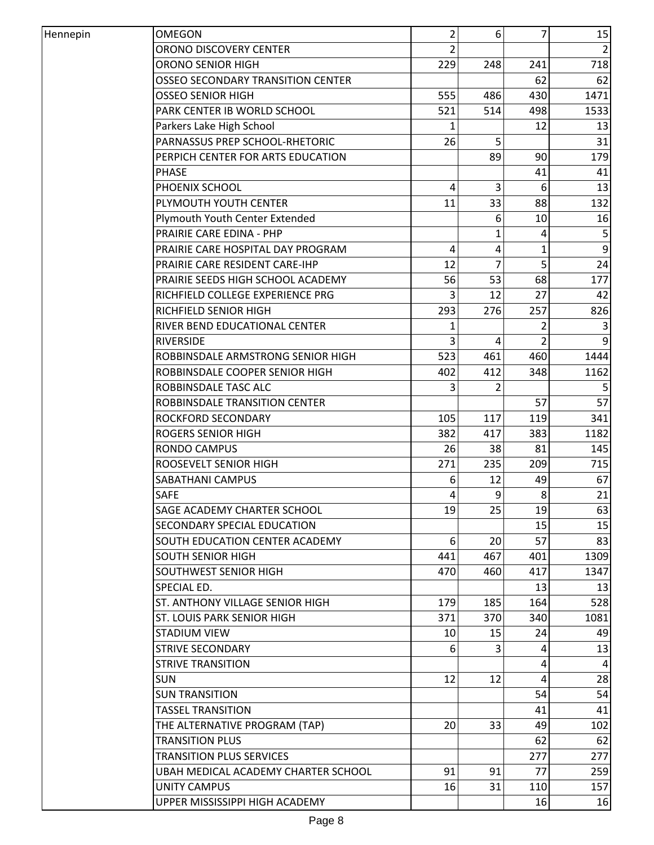| Hennepin | <b>OMEGON</b>                                    | 2              | 6         | $\overline{7}$ | 15               |
|----------|--------------------------------------------------|----------------|-----------|----------------|------------------|
|          | ORONO DISCOVERY CENTER                           | $\overline{2}$ |           |                | $\overline{2}$   |
|          | <b>ORONO SENIOR HIGH</b>                         | 229            | 248       | 241            | 718              |
|          | <b>OSSEO SECONDARY TRANSITION CENTER</b>         |                |           | 62             | 62               |
|          | OSSEO SENIOR HIGH                                | 555            | 486       | 430            | 1471             |
|          | PARK CENTER IB WORLD SCHOOL                      | 521            | 514       | 498            | 1533             |
|          | Parkers Lake High School                         | 1              |           | 12             | 13               |
|          | PARNASSUS PREP SCHOOL-RHETORIC                   | 26             | 5         |                | 31               |
|          | PERPICH CENTER FOR ARTS EDUCATION                |                | 89        | 90             | 179              |
|          | <b>PHASE</b>                                     |                |           | 41             | 41               |
|          | PHOENIX SCHOOL                                   | 4              | 3         | 6              | 13               |
|          | PLYMOUTH YOUTH CENTER                            | 11             | 33        | 88             | 132              |
|          | Plymouth Youth Center Extended                   |                | 6         | 10             | 16               |
|          | PRAIRIE CARE EDINA - PHP                         |                | 1         | 4              | 5                |
|          | PRAIRIE CARE HOSPITAL DAY PROGRAM                | 4              | 4         | $\mathbf{1}$   | $\boldsymbol{9}$ |
|          | PRAIRIE CARE RESIDENT CARE-IHP                   | 12             | 7         | 5              | 24               |
|          | PRAIRIE SEEDS HIGH SCHOOL ACADEMY                | 56             | 53        | 68             | 177              |
|          | RICHFIELD COLLEGE EXPERIENCE PRG                 | 3              | 12        | 27             | 42               |
|          | RICHFIELD SENIOR HIGH                            | 293            | 276       | 257            | 826              |
|          | RIVER BEND EDUCATIONAL CENTER                    | 1              |           |                |                  |
|          | <b>RIVERSIDE</b>                                 | 3              | 4         |                | 9                |
|          | ROBBINSDALE ARMSTRONG SENIOR HIGH                | 523            | 461       | 460            | 1444             |
|          | ROBBINSDALE COOPER SENIOR HIGH                   | 402            | 412       | 348            | 1162             |
|          | ROBBINSDALE TASC ALC                             | 3              | 2         |                |                  |
|          | ROBBINSDALE TRANSITION CENTER                    |                |           | 57             | 57               |
|          | ROCKFORD SECONDARY                               |                |           |                |                  |
|          |                                                  | 105            | 117       | 119            | 341              |
|          | <b>ROGERS SENIOR HIGH</b><br><b>RONDO CAMPUS</b> | 382            | 417<br>38 | 383            | 1182             |
|          |                                                  | 26             |           | 81             | 145              |
|          | ROOSEVELT SENIOR HIGH                            | 271            | 235       | 209            | 715              |
|          | SABATHANI CAMPUS                                 | 6              | 12        | 49             | 67               |
|          | <b>SAFE</b>                                      | 4              | 9         | 8              | 21               |
|          | <b>SAGE ACADEMY CHARTER SCHOOL</b>               | 19             | 25        | 19             | 63               |
|          | SECONDARY SPECIAL EDUCATION                      |                |           | 15             | 15               |
|          | SOUTH EDUCATION CENTER ACADEMY                   | 6              | 20        | 57             | 83               |
|          | <b>SOUTH SENIOR HIGH</b>                         | 441            | 467       | 401            | 1309             |
|          | SOUTHWEST SENIOR HIGH                            | 470            | 460       | 417            | 1347             |
|          | SPECIAL ED.                                      |                |           | 13             | 13               |
|          | ST. ANTHONY VILLAGE SENIOR HIGH                  | 179            | 185       | 164            | 528              |
|          | <b>ST. LOUIS PARK SENIOR HIGH</b>                | 371            | 370       | 340            | 1081             |
|          | <b>STADIUM VIEW</b>                              | 10             | 15        | 24             | 49               |
|          | <b>STRIVE SECONDARY</b>                          | 6              | 3         | 4              | 13               |
|          | <b>STRIVE TRANSITION</b>                         |                |           | 4              | 4                |
|          | <b>SUN</b>                                       | 12             | 12        | 4              | 28               |
|          | <b>SUN TRANSITION</b>                            |                |           | 54             | 54               |
|          | <b>TASSEL TRANSITION</b>                         |                |           | 41             | 41               |
|          | THE ALTERNATIVE PROGRAM (TAP)                    | 20             | 33        | 49             | 102              |
|          | <b>TRANSITION PLUS</b>                           |                |           | 62             | 62               |
|          | <b>TRANSITION PLUS SERVICES</b>                  |                |           | 277            | 277              |
|          | UBAH MEDICAL ACADEMY CHARTER SCHOOL              | 91             | 91        | 77             | 259              |
|          | <b>UNITY CAMPUS</b>                              | 16             | 31        | 110            | 157              |
|          | UPPER MISSISSIPPI HIGH ACADEMY                   |                |           | 16             | 16               |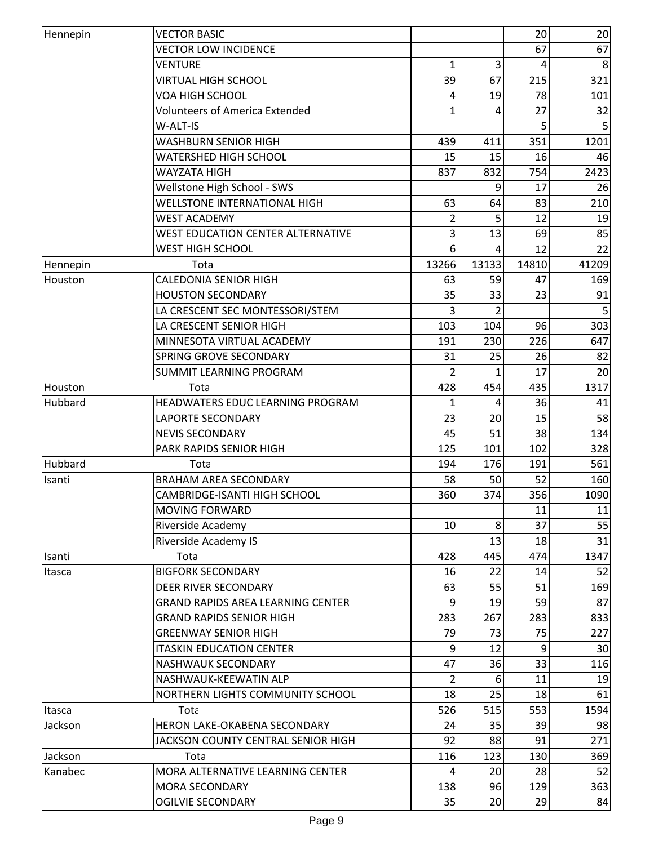| <b>VECTOR LOW INCIDENCE</b><br>67<br>67<br><b>VENTURE</b><br>$\mathbf{1}$<br>3<br>8<br>4<br>321<br><b>VIRTUAL HIGH SCHOOL</b><br>39<br>67<br>215<br>VOA HIGH SCHOOL<br>19<br>78<br>101<br>4<br><b>Volunteers of America Extended</b><br>27<br>32<br>1<br>Δ<br>W-ALT-IS<br>351<br>1201<br><b>WASHBURN SENIOR HIGH</b><br>439<br>411<br><b>WATERSHED HIGH SCHOOL</b><br>15<br>15<br>16<br>46<br>2423<br>WAYZATA HIGH<br>837<br>832<br>754<br>Wellstone High School - SWS<br>9<br>17<br>26<br><b>WELLSTONE INTERNATIONAL HIGH</b><br>63<br>64<br>83<br>210<br>12<br><b>WEST ACADEMY</b><br>19<br>2<br>5<br>85<br><b>WEST EDUCATION CENTER ALTERNATIVE</b><br>69<br>3<br>13<br>12<br>22<br><b>WEST HIGH SCHOOL</b><br>6<br>41209<br>13266<br>13133<br>14810<br>Tota<br>Hennepin<br><b>CALEDONIA SENIOR HIGH</b><br>63<br>59<br>169<br>Houston<br>47<br>91<br><b>HOUSTON SECONDARY</b><br>35<br>33<br>23<br>LA CRESCENT SEC MONTESSORI/STEM<br>3<br>303<br>LA CRESCENT SENIOR HIGH<br>103<br>104<br>96<br>MINNESOTA VIRTUAL ACADEMY<br>191<br>230<br>226<br>647<br>82<br><b>SPRING GROVE SECONDARY</b><br>31<br>25<br>26<br>17<br>SUMMIT LEARNING PROGRAM<br>20<br>1<br>1317<br>Tota<br>428<br>454<br>435<br>Houston<br>Hubbard<br>HEADWATERS EDUC LEARNING PROGRAM<br>36<br>41<br>4<br>58<br><b>LAPORTE SECONDARY</b><br>23<br>20<br>15<br><b>NEVIS SECONDARY</b><br>134<br>45<br>51<br>38<br>PARK RAPIDS SENIOR HIGH<br>125<br>101<br>102<br>328<br>Hubbard<br>561<br>194<br>176<br>191<br>Tota<br><b>BRAHAM AREA SECONDARY</b><br>58<br>52<br>160<br>Isanti<br>50<br>374<br>356<br>360<br>1090<br><b>CAMBRIDGE-ISANTI HIGH SCHOOL</b><br><b>MOVING FORWARD</b><br>11<br>11<br>8<br>37<br>55<br>10<br>Riverside Academy<br>31<br><b>Riverside Academy IS</b><br>13<br>18<br>428<br>445<br>474<br>1347<br>Isanti<br>Tota<br>52<br><b>BIGFORK SECONDARY</b><br>16<br>22<br>14<br>Itasca<br>55<br><b>DEER RIVER SECONDARY</b><br>63<br>51<br>169<br><b>GRAND RAPIDS AREA LEARNING CENTER</b><br>19<br>59<br>87<br>q<br><b>GRAND RAPIDS SENIOR HIGH</b><br>283<br>283<br>833<br>267<br>79<br>75<br>227<br><b>GREENWAY SENIOR HIGH</b><br>73<br><b>ITASKIN EDUCATION CENTER</b><br>9<br>12<br>9<br>30<br>33<br>NASHWAUK SECONDARY<br>47<br>36<br>116<br>11<br>NASHWAUK-KEEWATIN ALP<br>19<br>2<br>6<br>61<br>NORTHERN LIGHTS COMMUNITY SCHOOL<br>18<br>25<br>18<br>526<br>515<br>553<br>1594<br>Itasca<br>Tota<br>HERON LAKE-OKABENA SECONDARY<br>35<br>39<br>98<br>Jackson<br>24<br>92<br>271<br>JACKSON COUNTY CENTRAL SENIOR HIGH<br>88<br>91<br>Jackson<br>Tota<br>116<br>123<br>130<br>369<br>52<br>Kanabec<br>MORA ALTERNATIVE LEARNING CENTER<br>20<br>28<br>4<br>363<br>138<br>96<br>129<br><b>MORA SECONDARY</b><br><b>OGILVIE SECONDARY</b><br>35<br>20<br>29<br>84 | Hennepin | <b>VECTOR BASIC</b> |  | 20 | 20 |
|-----------------------------------------------------------------------------------------------------------------------------------------------------------------------------------------------------------------------------------------------------------------------------------------------------------------------------------------------------------------------------------------------------------------------------------------------------------------------------------------------------------------------------------------------------------------------------------------------------------------------------------------------------------------------------------------------------------------------------------------------------------------------------------------------------------------------------------------------------------------------------------------------------------------------------------------------------------------------------------------------------------------------------------------------------------------------------------------------------------------------------------------------------------------------------------------------------------------------------------------------------------------------------------------------------------------------------------------------------------------------------------------------------------------------------------------------------------------------------------------------------------------------------------------------------------------------------------------------------------------------------------------------------------------------------------------------------------------------------------------------------------------------------------------------------------------------------------------------------------------------------------------------------------------------------------------------------------------------------------------------------------------------------------------------------------------------------------------------------------------------------------------------------------------------------------------------------------------------------------------------------------------------------------------------------------------------------------------------------------------------------------------------------------------------------------------------------------------------------------------------------------------------------------------------------------------------------------------------------------------------------------------------------------------------------------------------------------------------------------------------------------------------|----------|---------------------|--|----|----|
|                                                                                                                                                                                                                                                                                                                                                                                                                                                                                                                                                                                                                                                                                                                                                                                                                                                                                                                                                                                                                                                                                                                                                                                                                                                                                                                                                                                                                                                                                                                                                                                                                                                                                                                                                                                                                                                                                                                                                                                                                                                                                                                                                                                                                                                                                                                                                                                                                                                                                                                                                                                                                                                                                                                                                                       |          |                     |  |    |    |
|                                                                                                                                                                                                                                                                                                                                                                                                                                                                                                                                                                                                                                                                                                                                                                                                                                                                                                                                                                                                                                                                                                                                                                                                                                                                                                                                                                                                                                                                                                                                                                                                                                                                                                                                                                                                                                                                                                                                                                                                                                                                                                                                                                                                                                                                                                                                                                                                                                                                                                                                                                                                                                                                                                                                                                       |          |                     |  |    |    |
|                                                                                                                                                                                                                                                                                                                                                                                                                                                                                                                                                                                                                                                                                                                                                                                                                                                                                                                                                                                                                                                                                                                                                                                                                                                                                                                                                                                                                                                                                                                                                                                                                                                                                                                                                                                                                                                                                                                                                                                                                                                                                                                                                                                                                                                                                                                                                                                                                                                                                                                                                                                                                                                                                                                                                                       |          |                     |  |    |    |
|                                                                                                                                                                                                                                                                                                                                                                                                                                                                                                                                                                                                                                                                                                                                                                                                                                                                                                                                                                                                                                                                                                                                                                                                                                                                                                                                                                                                                                                                                                                                                                                                                                                                                                                                                                                                                                                                                                                                                                                                                                                                                                                                                                                                                                                                                                                                                                                                                                                                                                                                                                                                                                                                                                                                                                       |          |                     |  |    |    |
|                                                                                                                                                                                                                                                                                                                                                                                                                                                                                                                                                                                                                                                                                                                                                                                                                                                                                                                                                                                                                                                                                                                                                                                                                                                                                                                                                                                                                                                                                                                                                                                                                                                                                                                                                                                                                                                                                                                                                                                                                                                                                                                                                                                                                                                                                                                                                                                                                                                                                                                                                                                                                                                                                                                                                                       |          |                     |  |    |    |
|                                                                                                                                                                                                                                                                                                                                                                                                                                                                                                                                                                                                                                                                                                                                                                                                                                                                                                                                                                                                                                                                                                                                                                                                                                                                                                                                                                                                                                                                                                                                                                                                                                                                                                                                                                                                                                                                                                                                                                                                                                                                                                                                                                                                                                                                                                                                                                                                                                                                                                                                                                                                                                                                                                                                                                       |          |                     |  |    |    |
|                                                                                                                                                                                                                                                                                                                                                                                                                                                                                                                                                                                                                                                                                                                                                                                                                                                                                                                                                                                                                                                                                                                                                                                                                                                                                                                                                                                                                                                                                                                                                                                                                                                                                                                                                                                                                                                                                                                                                                                                                                                                                                                                                                                                                                                                                                                                                                                                                                                                                                                                                                                                                                                                                                                                                                       |          |                     |  |    |    |
|                                                                                                                                                                                                                                                                                                                                                                                                                                                                                                                                                                                                                                                                                                                                                                                                                                                                                                                                                                                                                                                                                                                                                                                                                                                                                                                                                                                                                                                                                                                                                                                                                                                                                                                                                                                                                                                                                                                                                                                                                                                                                                                                                                                                                                                                                                                                                                                                                                                                                                                                                                                                                                                                                                                                                                       |          |                     |  |    |    |
|                                                                                                                                                                                                                                                                                                                                                                                                                                                                                                                                                                                                                                                                                                                                                                                                                                                                                                                                                                                                                                                                                                                                                                                                                                                                                                                                                                                                                                                                                                                                                                                                                                                                                                                                                                                                                                                                                                                                                                                                                                                                                                                                                                                                                                                                                                                                                                                                                                                                                                                                                                                                                                                                                                                                                                       |          |                     |  |    |    |
|                                                                                                                                                                                                                                                                                                                                                                                                                                                                                                                                                                                                                                                                                                                                                                                                                                                                                                                                                                                                                                                                                                                                                                                                                                                                                                                                                                                                                                                                                                                                                                                                                                                                                                                                                                                                                                                                                                                                                                                                                                                                                                                                                                                                                                                                                                                                                                                                                                                                                                                                                                                                                                                                                                                                                                       |          |                     |  |    |    |
|                                                                                                                                                                                                                                                                                                                                                                                                                                                                                                                                                                                                                                                                                                                                                                                                                                                                                                                                                                                                                                                                                                                                                                                                                                                                                                                                                                                                                                                                                                                                                                                                                                                                                                                                                                                                                                                                                                                                                                                                                                                                                                                                                                                                                                                                                                                                                                                                                                                                                                                                                                                                                                                                                                                                                                       |          |                     |  |    |    |
|                                                                                                                                                                                                                                                                                                                                                                                                                                                                                                                                                                                                                                                                                                                                                                                                                                                                                                                                                                                                                                                                                                                                                                                                                                                                                                                                                                                                                                                                                                                                                                                                                                                                                                                                                                                                                                                                                                                                                                                                                                                                                                                                                                                                                                                                                                                                                                                                                                                                                                                                                                                                                                                                                                                                                                       |          |                     |  |    |    |
|                                                                                                                                                                                                                                                                                                                                                                                                                                                                                                                                                                                                                                                                                                                                                                                                                                                                                                                                                                                                                                                                                                                                                                                                                                                                                                                                                                                                                                                                                                                                                                                                                                                                                                                                                                                                                                                                                                                                                                                                                                                                                                                                                                                                                                                                                                                                                                                                                                                                                                                                                                                                                                                                                                                                                                       |          |                     |  |    |    |
|                                                                                                                                                                                                                                                                                                                                                                                                                                                                                                                                                                                                                                                                                                                                                                                                                                                                                                                                                                                                                                                                                                                                                                                                                                                                                                                                                                                                                                                                                                                                                                                                                                                                                                                                                                                                                                                                                                                                                                                                                                                                                                                                                                                                                                                                                                                                                                                                                                                                                                                                                                                                                                                                                                                                                                       |          |                     |  |    |    |
|                                                                                                                                                                                                                                                                                                                                                                                                                                                                                                                                                                                                                                                                                                                                                                                                                                                                                                                                                                                                                                                                                                                                                                                                                                                                                                                                                                                                                                                                                                                                                                                                                                                                                                                                                                                                                                                                                                                                                                                                                                                                                                                                                                                                                                                                                                                                                                                                                                                                                                                                                                                                                                                                                                                                                                       |          |                     |  |    |    |
|                                                                                                                                                                                                                                                                                                                                                                                                                                                                                                                                                                                                                                                                                                                                                                                                                                                                                                                                                                                                                                                                                                                                                                                                                                                                                                                                                                                                                                                                                                                                                                                                                                                                                                                                                                                                                                                                                                                                                                                                                                                                                                                                                                                                                                                                                                                                                                                                                                                                                                                                                                                                                                                                                                                                                                       |          |                     |  |    |    |
|                                                                                                                                                                                                                                                                                                                                                                                                                                                                                                                                                                                                                                                                                                                                                                                                                                                                                                                                                                                                                                                                                                                                                                                                                                                                                                                                                                                                                                                                                                                                                                                                                                                                                                                                                                                                                                                                                                                                                                                                                                                                                                                                                                                                                                                                                                                                                                                                                                                                                                                                                                                                                                                                                                                                                                       |          |                     |  |    |    |
|                                                                                                                                                                                                                                                                                                                                                                                                                                                                                                                                                                                                                                                                                                                                                                                                                                                                                                                                                                                                                                                                                                                                                                                                                                                                                                                                                                                                                                                                                                                                                                                                                                                                                                                                                                                                                                                                                                                                                                                                                                                                                                                                                                                                                                                                                                                                                                                                                                                                                                                                                                                                                                                                                                                                                                       |          |                     |  |    |    |
|                                                                                                                                                                                                                                                                                                                                                                                                                                                                                                                                                                                                                                                                                                                                                                                                                                                                                                                                                                                                                                                                                                                                                                                                                                                                                                                                                                                                                                                                                                                                                                                                                                                                                                                                                                                                                                                                                                                                                                                                                                                                                                                                                                                                                                                                                                                                                                                                                                                                                                                                                                                                                                                                                                                                                                       |          |                     |  |    |    |
|                                                                                                                                                                                                                                                                                                                                                                                                                                                                                                                                                                                                                                                                                                                                                                                                                                                                                                                                                                                                                                                                                                                                                                                                                                                                                                                                                                                                                                                                                                                                                                                                                                                                                                                                                                                                                                                                                                                                                                                                                                                                                                                                                                                                                                                                                                                                                                                                                                                                                                                                                                                                                                                                                                                                                                       |          |                     |  |    |    |
|                                                                                                                                                                                                                                                                                                                                                                                                                                                                                                                                                                                                                                                                                                                                                                                                                                                                                                                                                                                                                                                                                                                                                                                                                                                                                                                                                                                                                                                                                                                                                                                                                                                                                                                                                                                                                                                                                                                                                                                                                                                                                                                                                                                                                                                                                                                                                                                                                                                                                                                                                                                                                                                                                                                                                                       |          |                     |  |    |    |
|                                                                                                                                                                                                                                                                                                                                                                                                                                                                                                                                                                                                                                                                                                                                                                                                                                                                                                                                                                                                                                                                                                                                                                                                                                                                                                                                                                                                                                                                                                                                                                                                                                                                                                                                                                                                                                                                                                                                                                                                                                                                                                                                                                                                                                                                                                                                                                                                                                                                                                                                                                                                                                                                                                                                                                       |          |                     |  |    |    |
|                                                                                                                                                                                                                                                                                                                                                                                                                                                                                                                                                                                                                                                                                                                                                                                                                                                                                                                                                                                                                                                                                                                                                                                                                                                                                                                                                                                                                                                                                                                                                                                                                                                                                                                                                                                                                                                                                                                                                                                                                                                                                                                                                                                                                                                                                                                                                                                                                                                                                                                                                                                                                                                                                                                                                                       |          |                     |  |    |    |
|                                                                                                                                                                                                                                                                                                                                                                                                                                                                                                                                                                                                                                                                                                                                                                                                                                                                                                                                                                                                                                                                                                                                                                                                                                                                                                                                                                                                                                                                                                                                                                                                                                                                                                                                                                                                                                                                                                                                                                                                                                                                                                                                                                                                                                                                                                                                                                                                                                                                                                                                                                                                                                                                                                                                                                       |          |                     |  |    |    |
|                                                                                                                                                                                                                                                                                                                                                                                                                                                                                                                                                                                                                                                                                                                                                                                                                                                                                                                                                                                                                                                                                                                                                                                                                                                                                                                                                                                                                                                                                                                                                                                                                                                                                                                                                                                                                                                                                                                                                                                                                                                                                                                                                                                                                                                                                                                                                                                                                                                                                                                                                                                                                                                                                                                                                                       |          |                     |  |    |    |
|                                                                                                                                                                                                                                                                                                                                                                                                                                                                                                                                                                                                                                                                                                                                                                                                                                                                                                                                                                                                                                                                                                                                                                                                                                                                                                                                                                                                                                                                                                                                                                                                                                                                                                                                                                                                                                                                                                                                                                                                                                                                                                                                                                                                                                                                                                                                                                                                                                                                                                                                                                                                                                                                                                                                                                       |          |                     |  |    |    |
|                                                                                                                                                                                                                                                                                                                                                                                                                                                                                                                                                                                                                                                                                                                                                                                                                                                                                                                                                                                                                                                                                                                                                                                                                                                                                                                                                                                                                                                                                                                                                                                                                                                                                                                                                                                                                                                                                                                                                                                                                                                                                                                                                                                                                                                                                                                                                                                                                                                                                                                                                                                                                                                                                                                                                                       |          |                     |  |    |    |
|                                                                                                                                                                                                                                                                                                                                                                                                                                                                                                                                                                                                                                                                                                                                                                                                                                                                                                                                                                                                                                                                                                                                                                                                                                                                                                                                                                                                                                                                                                                                                                                                                                                                                                                                                                                                                                                                                                                                                                                                                                                                                                                                                                                                                                                                                                                                                                                                                                                                                                                                                                                                                                                                                                                                                                       |          |                     |  |    |    |
|                                                                                                                                                                                                                                                                                                                                                                                                                                                                                                                                                                                                                                                                                                                                                                                                                                                                                                                                                                                                                                                                                                                                                                                                                                                                                                                                                                                                                                                                                                                                                                                                                                                                                                                                                                                                                                                                                                                                                                                                                                                                                                                                                                                                                                                                                                                                                                                                                                                                                                                                                                                                                                                                                                                                                                       |          |                     |  |    |    |
|                                                                                                                                                                                                                                                                                                                                                                                                                                                                                                                                                                                                                                                                                                                                                                                                                                                                                                                                                                                                                                                                                                                                                                                                                                                                                                                                                                                                                                                                                                                                                                                                                                                                                                                                                                                                                                                                                                                                                                                                                                                                                                                                                                                                                                                                                                                                                                                                                                                                                                                                                                                                                                                                                                                                                                       |          |                     |  |    |    |
|                                                                                                                                                                                                                                                                                                                                                                                                                                                                                                                                                                                                                                                                                                                                                                                                                                                                                                                                                                                                                                                                                                                                                                                                                                                                                                                                                                                                                                                                                                                                                                                                                                                                                                                                                                                                                                                                                                                                                                                                                                                                                                                                                                                                                                                                                                                                                                                                                                                                                                                                                                                                                                                                                                                                                                       |          |                     |  |    |    |
|                                                                                                                                                                                                                                                                                                                                                                                                                                                                                                                                                                                                                                                                                                                                                                                                                                                                                                                                                                                                                                                                                                                                                                                                                                                                                                                                                                                                                                                                                                                                                                                                                                                                                                                                                                                                                                                                                                                                                                                                                                                                                                                                                                                                                                                                                                                                                                                                                                                                                                                                                                                                                                                                                                                                                                       |          |                     |  |    |    |
|                                                                                                                                                                                                                                                                                                                                                                                                                                                                                                                                                                                                                                                                                                                                                                                                                                                                                                                                                                                                                                                                                                                                                                                                                                                                                                                                                                                                                                                                                                                                                                                                                                                                                                                                                                                                                                                                                                                                                                                                                                                                                                                                                                                                                                                                                                                                                                                                                                                                                                                                                                                                                                                                                                                                                                       |          |                     |  |    |    |
|                                                                                                                                                                                                                                                                                                                                                                                                                                                                                                                                                                                                                                                                                                                                                                                                                                                                                                                                                                                                                                                                                                                                                                                                                                                                                                                                                                                                                                                                                                                                                                                                                                                                                                                                                                                                                                                                                                                                                                                                                                                                                                                                                                                                                                                                                                                                                                                                                                                                                                                                                                                                                                                                                                                                                                       |          |                     |  |    |    |
|                                                                                                                                                                                                                                                                                                                                                                                                                                                                                                                                                                                                                                                                                                                                                                                                                                                                                                                                                                                                                                                                                                                                                                                                                                                                                                                                                                                                                                                                                                                                                                                                                                                                                                                                                                                                                                                                                                                                                                                                                                                                                                                                                                                                                                                                                                                                                                                                                                                                                                                                                                                                                                                                                                                                                                       |          |                     |  |    |    |
|                                                                                                                                                                                                                                                                                                                                                                                                                                                                                                                                                                                                                                                                                                                                                                                                                                                                                                                                                                                                                                                                                                                                                                                                                                                                                                                                                                                                                                                                                                                                                                                                                                                                                                                                                                                                                                                                                                                                                                                                                                                                                                                                                                                                                                                                                                                                                                                                                                                                                                                                                                                                                                                                                                                                                                       |          |                     |  |    |    |
|                                                                                                                                                                                                                                                                                                                                                                                                                                                                                                                                                                                                                                                                                                                                                                                                                                                                                                                                                                                                                                                                                                                                                                                                                                                                                                                                                                                                                                                                                                                                                                                                                                                                                                                                                                                                                                                                                                                                                                                                                                                                                                                                                                                                                                                                                                                                                                                                                                                                                                                                                                                                                                                                                                                                                                       |          |                     |  |    |    |
|                                                                                                                                                                                                                                                                                                                                                                                                                                                                                                                                                                                                                                                                                                                                                                                                                                                                                                                                                                                                                                                                                                                                                                                                                                                                                                                                                                                                                                                                                                                                                                                                                                                                                                                                                                                                                                                                                                                                                                                                                                                                                                                                                                                                                                                                                                                                                                                                                                                                                                                                                                                                                                                                                                                                                                       |          |                     |  |    |    |
|                                                                                                                                                                                                                                                                                                                                                                                                                                                                                                                                                                                                                                                                                                                                                                                                                                                                                                                                                                                                                                                                                                                                                                                                                                                                                                                                                                                                                                                                                                                                                                                                                                                                                                                                                                                                                                                                                                                                                                                                                                                                                                                                                                                                                                                                                                                                                                                                                                                                                                                                                                                                                                                                                                                                                                       |          |                     |  |    |    |
|                                                                                                                                                                                                                                                                                                                                                                                                                                                                                                                                                                                                                                                                                                                                                                                                                                                                                                                                                                                                                                                                                                                                                                                                                                                                                                                                                                                                                                                                                                                                                                                                                                                                                                                                                                                                                                                                                                                                                                                                                                                                                                                                                                                                                                                                                                                                                                                                                                                                                                                                                                                                                                                                                                                                                                       |          |                     |  |    |    |
|                                                                                                                                                                                                                                                                                                                                                                                                                                                                                                                                                                                                                                                                                                                                                                                                                                                                                                                                                                                                                                                                                                                                                                                                                                                                                                                                                                                                                                                                                                                                                                                                                                                                                                                                                                                                                                                                                                                                                                                                                                                                                                                                                                                                                                                                                                                                                                                                                                                                                                                                                                                                                                                                                                                                                                       |          |                     |  |    |    |
|                                                                                                                                                                                                                                                                                                                                                                                                                                                                                                                                                                                                                                                                                                                                                                                                                                                                                                                                                                                                                                                                                                                                                                                                                                                                                                                                                                                                                                                                                                                                                                                                                                                                                                                                                                                                                                                                                                                                                                                                                                                                                                                                                                                                                                                                                                                                                                                                                                                                                                                                                                                                                                                                                                                                                                       |          |                     |  |    |    |
|                                                                                                                                                                                                                                                                                                                                                                                                                                                                                                                                                                                                                                                                                                                                                                                                                                                                                                                                                                                                                                                                                                                                                                                                                                                                                                                                                                                                                                                                                                                                                                                                                                                                                                                                                                                                                                                                                                                                                                                                                                                                                                                                                                                                                                                                                                                                                                                                                                                                                                                                                                                                                                                                                                                                                                       |          |                     |  |    |    |
|                                                                                                                                                                                                                                                                                                                                                                                                                                                                                                                                                                                                                                                                                                                                                                                                                                                                                                                                                                                                                                                                                                                                                                                                                                                                                                                                                                                                                                                                                                                                                                                                                                                                                                                                                                                                                                                                                                                                                                                                                                                                                                                                                                                                                                                                                                                                                                                                                                                                                                                                                                                                                                                                                                                                                                       |          |                     |  |    |    |
|                                                                                                                                                                                                                                                                                                                                                                                                                                                                                                                                                                                                                                                                                                                                                                                                                                                                                                                                                                                                                                                                                                                                                                                                                                                                                                                                                                                                                                                                                                                                                                                                                                                                                                                                                                                                                                                                                                                                                                                                                                                                                                                                                                                                                                                                                                                                                                                                                                                                                                                                                                                                                                                                                                                                                                       |          |                     |  |    |    |
|                                                                                                                                                                                                                                                                                                                                                                                                                                                                                                                                                                                                                                                                                                                                                                                                                                                                                                                                                                                                                                                                                                                                                                                                                                                                                                                                                                                                                                                                                                                                                                                                                                                                                                                                                                                                                                                                                                                                                                                                                                                                                                                                                                                                                                                                                                                                                                                                                                                                                                                                                                                                                                                                                                                                                                       |          |                     |  |    |    |
|                                                                                                                                                                                                                                                                                                                                                                                                                                                                                                                                                                                                                                                                                                                                                                                                                                                                                                                                                                                                                                                                                                                                                                                                                                                                                                                                                                                                                                                                                                                                                                                                                                                                                                                                                                                                                                                                                                                                                                                                                                                                                                                                                                                                                                                                                                                                                                                                                                                                                                                                                                                                                                                                                                                                                                       |          |                     |  |    |    |
|                                                                                                                                                                                                                                                                                                                                                                                                                                                                                                                                                                                                                                                                                                                                                                                                                                                                                                                                                                                                                                                                                                                                                                                                                                                                                                                                                                                                                                                                                                                                                                                                                                                                                                                                                                                                                                                                                                                                                                                                                                                                                                                                                                                                                                                                                                                                                                                                                                                                                                                                                                                                                                                                                                                                                                       |          |                     |  |    |    |
|                                                                                                                                                                                                                                                                                                                                                                                                                                                                                                                                                                                                                                                                                                                                                                                                                                                                                                                                                                                                                                                                                                                                                                                                                                                                                                                                                                                                                                                                                                                                                                                                                                                                                                                                                                                                                                                                                                                                                                                                                                                                                                                                                                                                                                                                                                                                                                                                                                                                                                                                                                                                                                                                                                                                                                       |          |                     |  |    |    |
|                                                                                                                                                                                                                                                                                                                                                                                                                                                                                                                                                                                                                                                                                                                                                                                                                                                                                                                                                                                                                                                                                                                                                                                                                                                                                                                                                                                                                                                                                                                                                                                                                                                                                                                                                                                                                                                                                                                                                                                                                                                                                                                                                                                                                                                                                                                                                                                                                                                                                                                                                                                                                                                                                                                                                                       |          |                     |  |    |    |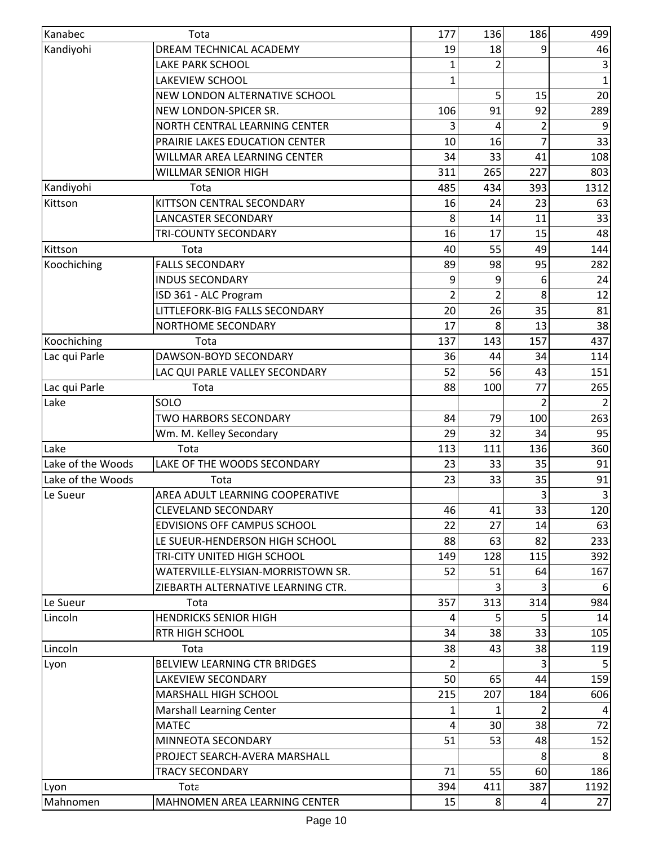| Kanabec           | Tota                                  | 177            | 136 | 186            | 499         |
|-------------------|---------------------------------------|----------------|-----|----------------|-------------|
| Kandiyohi         | DREAM TECHNICAL ACADEMY               | 19             | 18  | 9              | 46          |
|                   | LAKE PARK SCHOOL                      | 1              | 2   |                | 3           |
|                   | <b>LAKEVIEW SCHOOL</b>                | 1              |     |                | $\mathbf 1$ |
|                   | NEW LONDON ALTERNATIVE SCHOOL         |                | 5   | 15             | 20          |
|                   | NEW LONDON-SPICER SR.                 | 106            | 91  | 92             | 289         |
|                   | NORTH CENTRAL LEARNING CENTER         | 3              | 4   | $\overline{2}$ | 9           |
|                   | PRAIRIE LAKES EDUCATION CENTER        | 10             | 16  |                | 33          |
|                   | WILLMAR AREA LEARNING CENTER          | 34             | 33  | 41             | 108         |
|                   | <b>WILLMAR SENIOR HIGH</b>            | 311            | 265 | 227            | 803         |
| Kandiyohi         | Tota                                  | 485            | 434 | 393            | 1312        |
| Kittson           | KITTSON CENTRAL SECONDARY             | 16             | 24  | 23             | 63          |
|                   | LANCASTER SECONDARY                   | 8              | 14  | 11             | 33          |
|                   | <b>TRI-COUNTY SECONDARY</b>           | 16             | 17  | 15             | 48          |
| Kittson           | Tota                                  | 40             | 55  | 49             | 144         |
| Koochiching       | <b>FALLS SECONDARY</b>                | 89             | 98  | 95             | 282         |
|                   | <b>INDUS SECONDARY</b>                | 9              | 9   | 6              | 24          |
|                   | ISD 361 - ALC Program                 | 2              | 2   | 8              | 12          |
|                   | <b>LITTLEFORK-BIG FALLS SECONDARY</b> | 20             | 26  | 35             | 81          |
|                   | NORTHOME SECONDARY                    | 17             | 8   | 13             | 38          |
| Koochiching       | Tota                                  | 137            | 143 | 157            | 437         |
| Lac qui Parle     | DAWSON-BOYD SECONDARY                 | 36             | 44  | 34             | 114         |
|                   | LAC QUI PARLE VALLEY SECONDARY        | 52             | 56  | 43             | 151         |
| Lac qui Parle     | Tota                                  | 88             | 100 | 77             | 265         |
| Lake              | SOLO                                  |                |     |                |             |
|                   | <b>TWO HARBORS SECONDARY</b>          | 84             | 79  | 100            | 263         |
|                   | Wm. M. Kelley Secondary               | 29             | 32  | 34             | 95          |
| Lake              | Tota                                  | 113            | 111 | 136            | 360         |
| Lake of the Woods | LAKE OF THE WOODS SECONDARY           | 23             | 33  | 35             | 91          |
| Lake of the Woods | Tota                                  | 23             | 33  | 35             | 91          |
| Le Sueur          | AREA ADULT LEARNING COOPERATIVE       |                |     | 3              | 3           |
|                   | <b>CLEVELAND SECONDARY</b>            | 46             | 41  | 33             |             |
|                   | <b>EDVISIONS OFF CAMPUS SCHOOL</b>    | 22             | 27  | 14             | 120<br>63   |
|                   |                                       |                |     |                |             |
|                   | LE SUEUR-HENDERSON HIGH SCHOOL        | 88             | 63  | 82             | 233         |
|                   | TRI-CITY UNITED HIGH SCHOOL           | 149            | 128 | 115            | 392         |
|                   | WATERVILLE-ELYSIAN-MORRISTOWN SR.     | 52             | 51  | 64             | 167         |
|                   | ZIEBARTH ALTERNATIVE LEARNING CTR.    |                | 3   |                | 6           |
| Le Sueur          | Tota                                  | 357            | 313 | 314            | 984         |
| Lincoln           | <b>HENDRICKS SENIOR HIGH</b>          | 4              | 5   | 5              | 14          |
|                   | <b>RTR HIGH SCHOOL</b>                | 34             | 38  | 33             | 105         |
| Lincoln           | Tota                                  | 38             | 43  | 38             | 119         |
| Lyon              | BELVIEW LEARNING CTR BRIDGES          | $\overline{2}$ |     | 3              |             |
|                   | LAKEVIEW SECONDARY                    | 50             | 65  | 44             | 159         |
|                   | MARSHALL HIGH SCHOOL                  | 215            | 207 | 184            | 606         |
|                   | <b>Marshall Learning Center</b>       |                |     |                |             |
|                   | <b>MATEC</b>                          | 4              | 30  | 38             | 72          |
|                   | MINNEOTA SECONDARY                    | 51             | 53  | 48             | 152         |
|                   | PROJECT SEARCH-AVERA MARSHALL         |                |     |                |             |
|                   | <b>TRACY SECONDARY</b>                | 71             | 55  | 60             | 186         |
| Lyon              | Tota                                  | 394            | 411 | 387            | 1192        |
| Mahnomen          | MAHNOMEN AREA LEARNING CENTER         | 15             | 8   | $\overline{4}$ | 27          |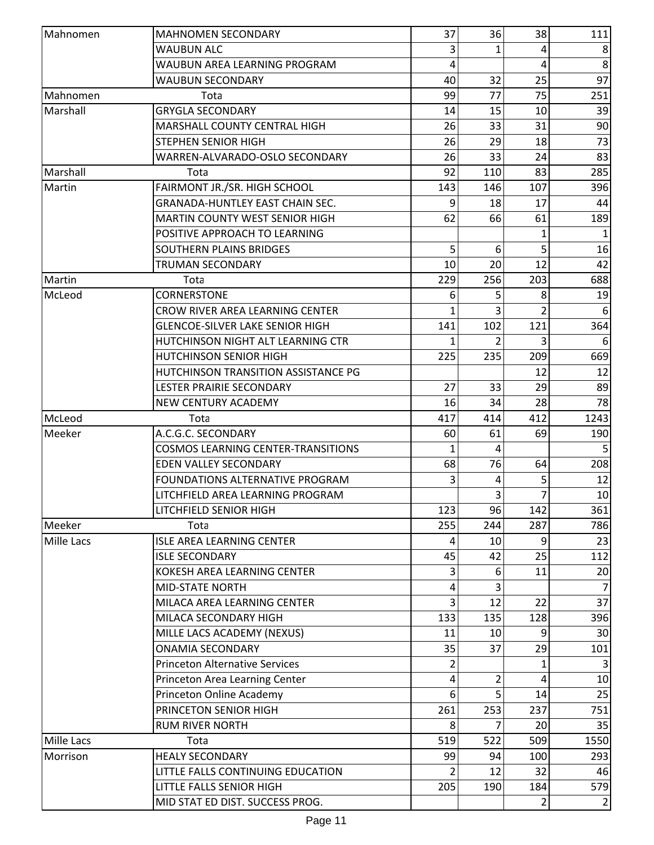| Mahnomen          | <b>MAHNOMEN SECONDARY</b>                                              | 37      | 36      | 38             | 111            |
|-------------------|------------------------------------------------------------------------|---------|---------|----------------|----------------|
|                   | <b>WAUBUN ALC</b>                                                      | 3       | 1       | 4              | 8              |
|                   | WAUBUN AREA LEARNING PROGRAM                                           | 4       |         | 4              | 8              |
|                   | <b>WAUBUN SECONDARY</b>                                                | 40      | 32      | 25             | 97             |
| Mahnomen          | Tota                                                                   | 99      | 77      | 75             | 251            |
| Marshall          | <b>GRYGLA SECONDARY</b>                                                | 14      | 15      | 10             | 39             |
|                   | MARSHALL COUNTY CENTRAL HIGH                                           | 26      | 33      | 31             | 90             |
|                   | <b>STEPHEN SENIOR HIGH</b>                                             | 26      | 29      | 18             | 73             |
|                   | WARREN-ALVARADO-OSLO SECONDARY                                         | 26      | 33      | 24             | 83             |
| Marshall          | Tota                                                                   | 92      | 110     | 83             | 285            |
| Martin            | FAIRMONT JR./SR. HIGH SCHOOL                                           | 143     | 146     | 107            | 396            |
|                   | <b>GRANADA-HUNTLEY EAST CHAIN SEC.</b>                                 | 9       | 18      | 17             | 44             |
|                   | <b>MARTIN COUNTY WEST SENIOR HIGH</b>                                  | 62      | 66      | 61             | 189            |
|                   | POSITIVE APPROACH TO LEARNING                                          |         |         | 1              | 1              |
|                   | SOUTHERN PLAINS BRIDGES                                                | 5       | 6       | 5              | 16             |
|                   | <b>TRUMAN SECONDARY</b>                                                | 10      | 20      | 12             | 42             |
| Martin            | Tota                                                                   | 229     | 256     | 203            | 688            |
| McLeod            | <b>CORNERSTONE</b>                                                     | 6       | 5       | 8              | 19             |
|                   | CROW RIVER AREA LEARNING CENTER                                        | 1       | 3       |                | 6              |
|                   | <b>GLENCOE-SILVER LAKE SENIOR HIGH</b>                                 | 141     | 102     | 121            | 364            |
|                   | HUTCHINSON NIGHT ALT LEARNING CTR                                      |         |         |                | 6              |
|                   | HUTCHINSON SENIOR HIGH                                                 | 225     | 235     | 209            | 669            |
|                   | HUTCHINSON TRANSITION ASSISTANCE PG                                    |         |         | 12             | 12             |
|                   | LESTER PRAIRIE SECONDARY                                               | 27      | 33      | 29             | 89             |
|                   | <b>NEW CENTURY ACADEMY</b>                                             | 16      | 34      | 28             | 78             |
|                   |                                                                        | 417     |         |                |                |
| McLeod<br>Meeker  | Tota<br>A.C.G.C. SECONDARY                                             |         | 414     | 412<br>69      | 1243<br>190    |
|                   | <b>COSMOS LEARNING CENTER-TRANSITIONS</b>                              | 60<br>1 | 61<br>4 |                |                |
|                   |                                                                        |         |         |                |                |
|                   | <b>EDEN VALLEY SECONDARY</b><br><b>FOUNDATIONS ALTERNATIVE PROGRAM</b> | 68<br>3 | 76      | 64             | 208<br>12      |
|                   |                                                                        |         | 4       | 5<br>7         |                |
|                   | LITCHFIELD AREA LEARNING PROGRAM                                       |         | 3       |                | 10             |
|                   | LITCHFIELD SENIOR HIGH                                                 | 123     | 96      | 142            | 361            |
| Meeker            | Tota                                                                   | 255     | 244     | 287            | 786            |
| <b>Mille Lacs</b> | <b>ISLE AREA LEARNING CENTER</b>                                       | 4       | 10      | 9              | 23             |
|                   | <b>ISLE SECONDARY</b>                                                  | 45      | 42      | 25             | 112            |
|                   | KOKESH AREA LEARNING CENTER                                            | 3       | 6       | 11             | 20             |
|                   | <b>MID-STATE NORTH</b>                                                 | 4       | 3       |                | $\overline{7}$ |
|                   | MILACA AREA LEARNING CENTER                                            | 3       | 12      | 22             | 37             |
|                   | MILACA SECONDARY HIGH                                                  | 133     | 135     | 128            | 396            |
|                   | MILLE LACS ACADEMY (NEXUS)                                             | 11      | 10      |                | 30             |
|                   | <b>ONAMIA SECONDARY</b>                                                | 35      | 37      | 29             | 101            |
|                   | <b>Princeton Alternative Services</b>                                  | 2       |         | 1              | $\overline{3}$ |
|                   | Princeton Area Learning Center                                         | 4       | 2       | 4              | 10             |
|                   | Princeton Online Academy                                               | 6       | 5       | 14             | 25             |
|                   | PRINCETON SENIOR HIGH                                                  | 261     | 253     | 237            | 751            |
|                   | <b>RUM RIVER NORTH</b>                                                 | 8       |         | 20             | 35             |
| <b>Mille Lacs</b> | Tota                                                                   | 519     | 522     | 509            | 1550           |
| Morrison          | <b>HEALY SECONDARY</b>                                                 | 99      | 94      | 100            | 293            |
|                   | LITTLE FALLS CONTINUING EDUCATION                                      | 2       | 12      | 32             | 46             |
|                   | LITTLE FALLS SENIOR HIGH                                               | 205     | 190     | 184            | 579            |
|                   | MID STAT ED DIST. SUCCESS PROG.                                        |         |         | $\overline{2}$ | $\overline{2}$ |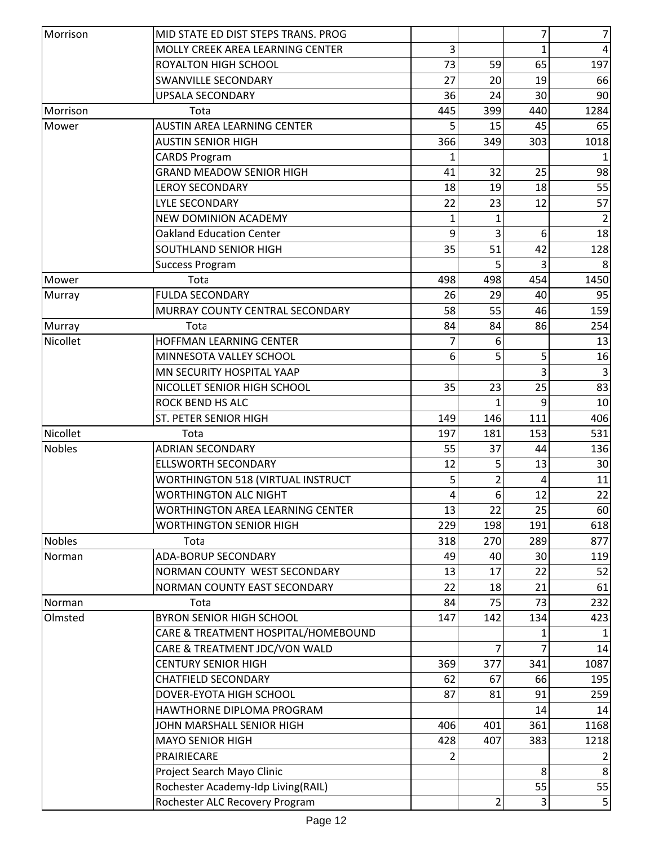| Morrison      | MID STATE ED DIST STEPS TRANS. PROG                                      |           |           | 7         | 7         |
|---------------|--------------------------------------------------------------------------|-----------|-----------|-----------|-----------|
|               | MOLLY CREEK AREA LEARNING CENTER                                         | 3         |           | 1         | 4         |
|               | <b>ROYALTON HIGH SCHOOL</b>                                              | 73        | 59        | 65        | 197       |
|               | SWANVILLE SECONDARY                                                      | 27        | 20        | 19        | 66        |
|               | <b>UPSALA SECONDARY</b>                                                  | 36        | 24        | 30        | 90        |
| Morrison      | Tota                                                                     | 445       | 399       | 440       | 1284      |
| Mower         | <b>AUSTIN AREA LEARNING CENTER</b>                                       | 5         | 15        | 45        | 65        |
|               | <b>AUSTIN SENIOR HIGH</b>                                                | 366       | 349       | 303       | 1018      |
|               | <b>CARDS Program</b>                                                     | 1         |           |           | 1         |
|               | <b>GRAND MEADOW SENIOR HIGH</b>                                          | 41        | 32        | 25        | 98        |
|               | <b>LEROY SECONDARY</b>                                                   | 18        | 19        | 18        | 55        |
|               | <b>LYLE SECONDARY</b>                                                    | 22        | 23        | 12        | 57        |
|               | <b>NEW DOMINION ACADEMY</b>                                              | 1         | 1         |           |           |
|               | <b>Oakland Education Center</b>                                          | 9         | 3         | 6         | 18        |
|               | SOUTHLAND SENIOR HIGH                                                    | 35        | 51        | 42        | 128       |
|               | <b>Success Program</b>                                                   |           | 5         |           |           |
| Mower         | Tota                                                                     | 498       | 498       | 454       | 1450      |
| Murray        | <b>FULDA SECONDARY</b>                                                   | 26        | 29        | 40        | 95        |
|               | MURRAY COUNTY CENTRAL SECONDARY                                          | 58        | 55        | 46        | 159       |
| Murray        | Tota                                                                     | 84        | 84        | 86        | 254       |
| Nicollet      | HOFFMAN LEARNING CENTER                                                  | 7         | 6         |           | 13        |
|               | MINNESOTA VALLEY SCHOOL                                                  | 6         | 5         | 5         | 16        |
|               | MN SECURITY HOSPITAL YAAP                                                |           |           | 3         |           |
|               | NICOLLET SENIOR HIGH SCHOOL                                              | 35        | 23        | 25        | 83        |
|               | <b>ROCK BEND HS ALC</b>                                                  |           |           | 9         | 10        |
|               | ST. PETER SENIOR HIGH                                                    | 149       | 146       | 111       | 406       |
| Nicollet      | Tota                                                                     | 197       | 181       | 153       | 531       |
| <b>Nobles</b> | <b>ADRIAN SECONDARY</b>                                                  | 55        | 37        | 44        | 136       |
|               | <b>ELLSWORTH SECONDARY</b>                                               | 12        | 5         | 13        | 30        |
|               |                                                                          | 5         | 2         | 4         | 11        |
|               | <b>WORTHINGTON 518 (VIRTUAL INSTRUCT</b><br><b>WORTHINGTON ALC NIGHT</b> |           |           |           |           |
|               | <b>WORTHINGTON AREA LEARNING CENTER</b>                                  | 4         | 6         | 12        | 22        |
|               | <b>WORTHINGTON SENIOR HIGH</b>                                           | 13<br>229 | 22<br>198 | 25<br>191 | 60<br>618 |
| <b>Nobles</b> |                                                                          |           |           |           |           |
|               | Tota<br><b>ADA-BORUP SECONDARY</b>                                       | 318<br>49 | 270       | 289       | 877       |
| Norman        |                                                                          |           | 40        | 30        | 119       |
|               | NORMAN COUNTY WEST SECONDARY                                             | 13        | 17        | 22        | 52        |
|               | NORMAN COUNTY EAST SECONDARY                                             | 22        | 18        | 21        | 61        |
| Norman        | Tota                                                                     | 84        | 75        | 73        | 232       |
| Olmsted       | <b>BYRON SENIOR HIGH SCHOOL</b>                                          | 147       | 142       | 134       | 423       |
|               | CARE & TREATMENT HOSPITAL/HOMEBOUND                                      |           |           |           |           |
|               | CARE & TREATMENT JDC/VON WALD                                            |           | 7         |           | 14        |
|               | <b>CENTURY SENIOR HIGH</b>                                               | 369       | 377       | 341       | 1087      |
|               | <b>CHATFIELD SECONDARY</b>                                               | 62        | 67        | 66        | 195       |
|               | DOVER-EYOTA HIGH SCHOOL                                                  | 87        | 81        | 91        | 259       |
|               | HAWTHORNE DIPLOMA PROGRAM                                                |           |           | 14        | 14        |
|               | JOHN MARSHALL SENIOR HIGH                                                | 406       | 401       | 361       | 1168      |
|               | <b>MAYO SENIOR HIGH</b>                                                  | 428       | 407       | 383       | 1218      |
|               | PRAIRIECARE                                                              |           |           |           |           |
|               | Project Search Mayo Clinic                                               |           |           | 8         | 8         |
|               | Rochester Academy-Idp Living(RAIL)                                       |           |           | 55        | 55        |
|               | Rochester ALC Recovery Program                                           |           | 2         | 3         | 5         |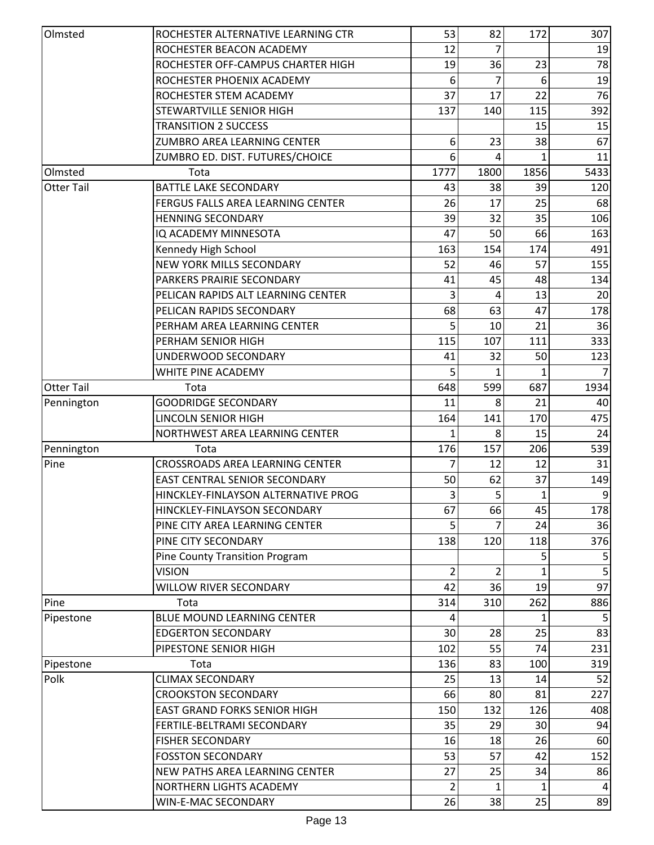| Olmsted           | ROCHESTER ALTERNATIVE LEARNING CTR     | 53   | 82   | 172  | 307            |
|-------------------|----------------------------------------|------|------|------|----------------|
|                   | ROCHESTER BEACON ACADEMY               | 12   | 7    |      | 19             |
|                   | ROCHESTER OFF-CAMPUS CHARTER HIGH      | 19   | 36   | 23   | 78             |
|                   | ROCHESTER PHOENIX ACADEMY              | 6    | 7    | 6    | 19             |
|                   | ROCHESTER STEM ACADEMY                 | 37   | 17   | 22   | 76             |
|                   | STEWARTVILLE SENIOR HIGH               | 137  | 140  | 115  | 392            |
|                   | <b>TRANSITION 2 SUCCESS</b>            |      |      | 15   | 15             |
|                   | ZUMBRO AREA LEARNING CENTER            | 6    | 23   | 38   | 67             |
|                   | ZUMBRO ED. DIST. FUTURES/CHOICE        | 6    | 4    | 1    | 11             |
| Olmsted           | Tota                                   | 1777 | 1800 | 1856 | 5433           |
| <b>Otter Tail</b> | <b>BATTLE LAKE SECONDARY</b>           | 43   | 38   | 39   | 120            |
|                   | FERGUS FALLS AREA LEARNING CENTER      | 26   | 17   | 25   | 68             |
|                   | <b>HENNING SECONDARY</b>               | 39   | 32   | 35   | 106            |
|                   | IQ ACADEMY MINNESOTA                   | 47   | 50   | 66   | 163            |
|                   | Kennedy High School                    | 163  | 154  | 174  | 491            |
|                   | <b>NEW YORK MILLS SECONDARY</b>        | 52   | 46   | 57   | 155            |
|                   | PARKERS PRAIRIE SECONDARY              | 41   | 45   | 48   | 134            |
|                   | PELICAN RAPIDS ALT LEARNING CENTER     | 3    | 4    | 13   | 20             |
|                   | PELICAN RAPIDS SECONDARY               | 68   | 63   | 47   | 178            |
|                   | PERHAM AREA LEARNING CENTER            | 5    | 10   | 21   | 36             |
|                   | PERHAM SENIOR HIGH                     | 115  | 107  | 111  | 333            |
|                   | UNDERWOOD SECONDARY                    | 41   | 32   | 50   | 123            |
|                   | WHITE PINE ACADEMY                     |      |      |      |                |
| <b>Otter Tail</b> | Tota                                   | 648  | 599  | 687  | 1934           |
| Pennington        | <b>GOODRIDGE SECONDARY</b>             | 11   | 8    | 21   | 40             |
|                   | LINCOLN SENIOR HIGH                    | 164  | 141  | 170  | 475            |
|                   | NORTHWEST AREA LEARNING CENTER         | 1    | 8    | 15   | 24             |
| Pennington        | Tota                                   | 176  | 157  | 206  | 539            |
| Pine              | <b>CROSSROADS AREA LEARNING CENTER</b> | 7    | 12   | 12   | 31             |
|                   | <b>EAST CENTRAL SENIOR SECONDARY</b>   | 50   | 62   | 37   | 149            |
|                   | HINCKLEY-FINLAYSON ALTERNATIVE PROG    | 3    | 5    | 1    | 9              |
|                   | HINCKLEY-FINLAYSON SECONDARY           | 67   | 66   | 45   | 178            |
|                   | PINE CITY AREA LEARNING CENTER         |      |      | 24   | 36             |
|                   | PINE CITY SECONDARY                    | 138  | 120  | 118  | 376            |
|                   | Pine County Transition Program         |      |      |      |                |
|                   | <b>VISION</b>                          | 2    | 2    |      |                |
|                   | <b>WILLOW RIVER SECONDARY</b>          | 42   | 36   | 19   | 97             |
| Pine              | Tota                                   | 314  | 310  | 262  | 886            |
| Pipestone         | <b>BLUE MOUND LEARNING CENTER</b>      | 4    |      | 1    | 5              |
|                   | <b>EDGERTON SECONDARY</b>              | 30   | 28   | 25   | 83             |
|                   | PIPESTONE SENIOR HIGH                  | 102  | 55   | 74   | 231            |
| Pipestone         | Tota                                   | 136  | 83   | 100  | 319            |
| Polk              | <b>CLIMAX SECONDARY</b>                | 25   | 13   | 14   | 52             |
|                   | <b>CROOKSTON SECONDARY</b>             | 66   | 80   | 81   | 227            |
|                   | <b>EAST GRAND FORKS SENIOR HIGH</b>    | 150  | 132  | 126  | 408            |
|                   | FERTILE-BELTRAMI SECONDARY             | 35   | 29   | 30   | 94             |
|                   | <b>FISHER SECONDARY</b>                | 16   | 18   | 26   | 60             |
|                   | <b>FOSSTON SECONDARY</b>               | 53   | 57   | 42   | 152            |
|                   | NEW PATHS AREA LEARNING CENTER         | 27   | 25   | 34   | 86             |
|                   | NORTHERN LIGHTS ACADEMY                | 2    |      | 1    | $\overline{4}$ |
|                   | WIN-E-MAC SECONDARY                    | 26   | 38   | 25   | 89             |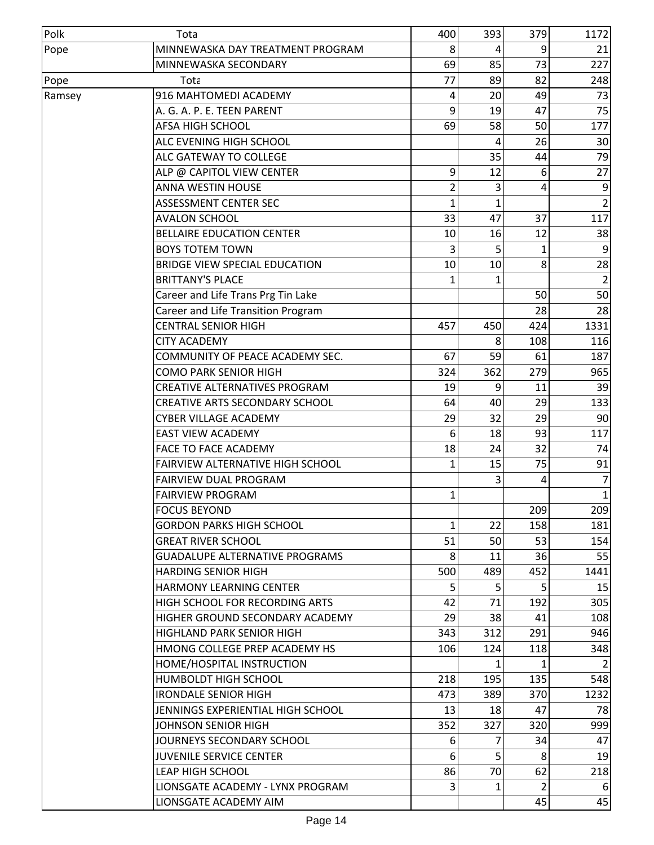| Polk   | Tota                                    | 400          | 393          | 379            | 1172           |
|--------|-----------------------------------------|--------------|--------------|----------------|----------------|
| Pope   | MINNEWASKA DAY TREATMENT PROGRAM        | 8            | 4            | 9              | 21             |
|        | MINNEWASKA SECONDARY                    | 69           | 85           | 73             | 227            |
| Pope   | Tota                                    | 77           | 89           | 82             | 248            |
| Ramsey | 916 MAHTOMEDI ACADEMY                   | 4            | 20           | 49             | 73             |
|        | A. G. A. P. E. TEEN PARENT              | 9            | 19           | 47             | 75             |
|        | <b>AFSA HIGH SCHOOL</b>                 | 69           | 58           | 50             | 177            |
|        | ALC EVENING HIGH SCHOOL                 |              | 4            | 26             | 30             |
|        | ALC GATEWAY TO COLLEGE                  |              | 35           | 44             | 79             |
|        | ALP @ CAPITOL VIEW CENTER               | 9            | 12           | 6              | 27             |
|        | <b>ANNA WESTIN HOUSE</b>                | 2            | 3            | 4              | 9              |
|        | <b>ASSESSMENT CENTER SEC</b>            | 1            | 1            |                | $\overline{2}$ |
|        | <b>AVALON SCHOOL</b>                    | 33           | 47           | 37             | 117            |
|        | <b>BELLAIRE EDUCATION CENTER</b>        | 10           | 16           | 12             | 38             |
|        | <b>BOYS TOTEM TOWN</b>                  | 3            | 5            | 1              | 9              |
|        | <b>BRIDGE VIEW SPECIAL EDUCATION</b>    | 10           | 10           | 8              | 28             |
|        | <b>BRITTANY'S PLACE</b>                 | $\mathbf{1}$ | $\mathbf{1}$ |                | $\overline{2}$ |
|        | Career and Life Trans Prg Tin Lake      |              |              | 50             | 50             |
|        | Career and Life Transition Program      |              |              | 28             | 28             |
|        | <b>CENTRAL SENIOR HIGH</b>              | 457          | 450          | 424            | 1331           |
|        | <b>CITY ACADEMY</b>                     |              | 8            | 108            | 116            |
|        | COMMUNITY OF PEACE ACADEMY SEC.         | 67           | 59           | 61             | 187            |
|        | <b>COMO PARK SENIOR HIGH</b>            | 324          | 362          | 279            | 965            |
|        | CREATIVE ALTERNATIVES PROGRAM           | 19           | 9            | 11             | 39             |
|        | CREATIVE ARTS SECONDARY SCHOOL          | 64           | 40           | 29             | 133            |
|        | <b>CYBER VILLAGE ACADEMY</b>            | 29           | 32           | 29             | 90             |
|        | <b>EAST VIEW ACADEMY</b>                | 6            | 18           | 93             | 117            |
|        | <b>FACE TO FACE ACADEMY</b>             | 18           | 24           | 32             | 74             |
|        | <b>FAIRVIEW ALTERNATIVE HIGH SCHOOL</b> | 1            | 15           | 75             | 91             |
|        | <b>FAIRVIEW DUAL PROGRAM</b>            |              | 3            | 4              | $\overline{7}$ |
|        | <b>FAIRVIEW PROGRAM</b>                 | 1            |              |                | 1              |
|        | <b>FOCUS BEYOND</b>                     |              |              | 209            | 209            |
|        | <b>GORDON PARKS HIGH SCHOOL</b>         | 1            | 22           | 158            | 181            |
|        | <b>GREAT RIVER SCHOOL</b>               | 51           | 50           | 53             | 154            |
|        | <b>GUADALUPE ALTERNATIVE PROGRAMS</b>   | 8            | 11           | 36             | 55             |
|        | <b>HARDING SENIOR HIGH</b>              | 500          | 489          | 452            | 1441           |
|        | <b>HARMONY LEARNING CENTER</b>          | 5            | 5            | 5              | 15             |
|        | HIGH SCHOOL FOR RECORDING ARTS          | 42           | 71           | 192            | 305            |
|        | HIGHER GROUND SECONDARY ACADEMY         | 29           | 38           | 41             | 108            |
|        | HIGHLAND PARK SENIOR HIGH               | 343          | 312          | 291            | 946            |
|        | HMONG COLLEGE PREP ACADEMY HS           | 106          | 124          | 118            | 348            |
|        | HOME/HOSPITAL INSTRUCTION               |              | 1            | 1              | $\overline{2}$ |
|        | <b>HUMBOLDT HIGH SCHOOL</b>             | 218          | 195          | 135            | 548            |
|        | <b>IRONDALE SENIOR HIGH</b>             | 473          | 389          | 370            | 1232           |
|        | JENNINGS EXPERIENTIAL HIGH SCHOOL       | 13           | 18           | 47             | 78             |
|        | JOHNSON SENIOR HIGH                     | 352          | 327          | 320            | 999            |
|        | JOURNEYS SECONDARY SCHOOL               | 6            | 7            | 34             | 47             |
|        | <b>JUVENILE SERVICE CENTER</b>          | 6            | 5            | 8              | 19             |
|        | <b>LEAP HIGH SCHOOL</b>                 | 86           | 70           | 62             | 218            |
|        | LIONSGATE ACADEMY - LYNX PROGRAM        | 3            | 1            | $\overline{2}$ | 6              |
|        | LIONSGATE ACADEMY AIM                   |              |              | 45             | 45             |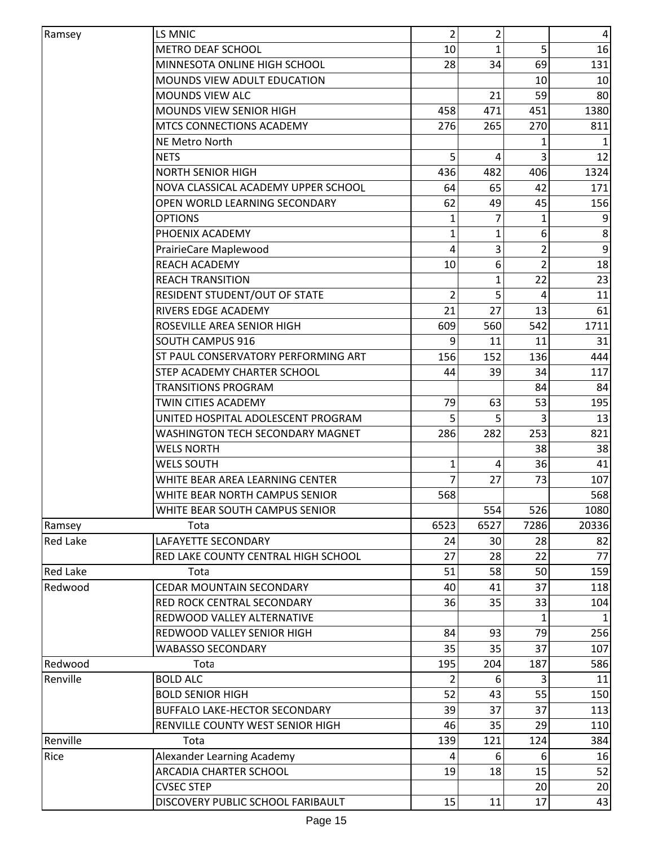| Ramsey          | LS MNIC                                 | $\overline{2}$ | $\overline{2}$ |               | 4     |
|-----------------|-----------------------------------------|----------------|----------------|---------------|-------|
|                 | <b>METRO DEAF SCHOOL</b>                | 10             | 1              | 5             | 16    |
|                 | MINNESOTA ONLINE HIGH SCHOOL            | 28             | 34             | 69            | 131   |
|                 | MOUNDS VIEW ADULT EDUCATION             |                |                | 10            | 10    |
|                 | <b>MOUNDS VIEW ALC</b>                  |                | 21             | 59            | 80    |
|                 | MOUNDS VIEW SENIOR HIGH                 | 458            | 471            | 451           | 1380  |
|                 | MTCS CONNECTIONS ACADEMY                | 276            | 265            | 270           | 811   |
|                 | <b>NE Metro North</b>                   |                |                | 1             |       |
|                 | <b>NETS</b>                             | 5              | 4              |               | 12    |
|                 | <b>NORTH SENIOR HIGH</b>                | 436            | 482            | 406           | 1324  |
|                 | NOVA CLASSICAL ACADEMY UPPER SCHOOL     | 64             | 65             | 42            | 171   |
|                 | OPEN WORLD LEARNING SECONDARY           | 62             | 49             | 45            | 156   |
|                 | <b>OPTIONS</b>                          | 1              | 7              | 1             | 9     |
|                 | PHOENIX ACADEMY                         | 1              | 1              | 6             | 8     |
|                 | PrairieCare Maplewood                   | 4              | 3              | 2             | 9     |
|                 | <b>REACH ACADEMY</b>                    | 10             | 6              | $\mathcal{P}$ | 18    |
|                 | <b>REACH TRANSITION</b>                 |                | 1              | 22            | 23    |
|                 | RESIDENT STUDENT/OUT OF STATE           | 2              | 5              | 4             | 11    |
|                 | RIVERS EDGE ACADEMY                     | 21             | 27             | 13            | 61    |
|                 | ROSEVILLE AREA SENIOR HIGH              | 609            | 560            | 542           | 1711  |
|                 | <b>SOUTH CAMPUS 916</b>                 | 9              | 11             | 11            | 31    |
|                 | ST PAUL CONSERVATORY PERFORMING ART     | 156            | 152            | 136           | 444   |
|                 | STEP ACADEMY CHARTER SCHOOL             | 44             | 39             | 34            | 117   |
|                 | TRANSITIONS PROGRAM                     |                |                | 84            | 84    |
|                 | TWIN CITIES ACADEMY                     | 79             | 63             | 53            | 195   |
|                 |                                         | 5              |                |               | 13    |
|                 | UNITED HOSPITAL ADOLESCENT PROGRAM      |                | 5              |               |       |
|                 | <b>WASHINGTON TECH SECONDARY MAGNET</b> | 286            | 282            | 253           | 821   |
|                 | <b>WELS NORTH</b>                       |                |                | 38            | 38    |
|                 | <b>WELS SOUTH</b>                       | 1              | 4              | 36            | 41    |
|                 | WHITE BEAR AREA LEARNING CENTER         |                | 27             | 73            | 107   |
|                 | WHITE BEAR NORTH CAMPUS SENIOR          | 568            |                |               | 568   |
|                 | WHITE BEAR SOUTH CAMPUS SENIOR          |                | 554            | 526           | 1080  |
| Ramsey          | Tota                                    | 6523           | 6527           | 7286          | 20336 |
| <b>Red Lake</b> | LAFAYETTE SECONDARY                     | 24             | 30             | 28            | 82    |
|                 | RED LAKE COUNTY CENTRAL HIGH SCHOOL     | 27             | 28             | 22            | 77    |
| <b>Red Lake</b> | Tota                                    | 51             | 58             | 50            | 159   |
| Redwood         | <b>CEDAR MOUNTAIN SECONDARY</b>         | 40             | 41             | 37            | 118   |
|                 | RED ROCK CENTRAL SECONDARY              | 36             | 35             | 33            | 104   |
|                 | REDWOOD VALLEY ALTERNATIVE              |                |                |               |       |
|                 | REDWOOD VALLEY SENIOR HIGH              | 84             | 93             | 79            | 256   |
|                 | <b>WABASSO SECONDARY</b>                | 35             | 35             | 37            | 107   |
| Redwood         | Tota                                    | 195            | 204            | 187           | 586   |
| Renville        | <b>BOLD ALC</b>                         | 2              | 6              | 3             | 11    |
|                 | <b>BOLD SENIOR HIGH</b>                 | 52             | 43             | 55            | 150   |
|                 | <b>BUFFALO LAKE-HECTOR SECONDARY</b>    | 39             | 37             | 37            | 113   |
|                 | RENVILLE COUNTY WEST SENIOR HIGH        | 46             | 35             | 29            | 110   |
| Renville        | Tota                                    | 139            | 121            | 124           | 384   |
| Rice            | Alexander Learning Academy              | 4              | 6              | 6             | 16    |
|                 | <b>ARCADIA CHARTER SCHOOL</b>           | 19             | 18             | 15            | 52    |
|                 | <b>CVSEC STEP</b>                       |                |                | 20            | 20    |
|                 | DISCOVERY PUBLIC SCHOOL FARIBAULT       | 15             | 11             | 17            | 43    |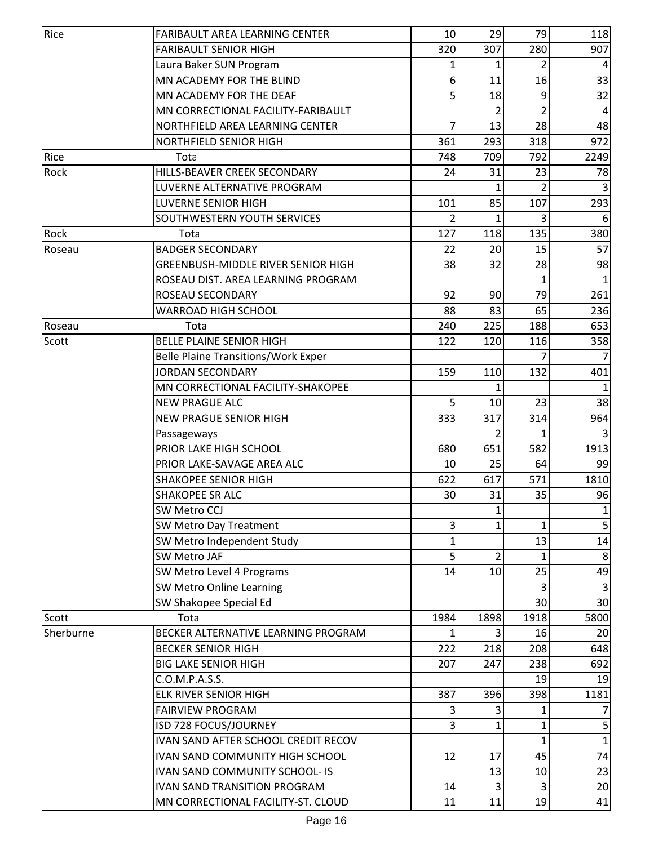| Rice      | <b>FARIBAULT AREA LEARNING CENTER</b>      | 10           | 29   | 79             | 118            |
|-----------|--------------------------------------------|--------------|------|----------------|----------------|
|           | <b>FARIBAULT SENIOR HIGH</b>               | 320          | 307  | 280            | 907            |
|           | Laura Baker SUN Program                    | 1            | 1    | 2              | 4              |
|           | MN ACADEMY FOR THE BLIND                   | 6            | 11   | 16             | 33             |
|           | MN ACADEMY FOR THE DEAF                    | 5            | 18   | 9              | 32             |
|           | MN CORRECTIONAL FACILITY-FARIBAULT         |              | 2    | $\overline{2}$ | $\overline{4}$ |
|           | NORTHFIELD AREA LEARNING CENTER            | 7            | 13   | 28             | 48             |
|           | <b>NORTHFIELD SENIOR HIGH</b>              | 361          | 293  | 318            | 972            |
| Rice      | Tota                                       | 748          | 709  | 792            | 2249           |
| Rock      | HILLS-BEAVER CREEK SECONDARY               | 24           | 31   | 23             | 78             |
|           | LUVERNE ALTERNATIVE PROGRAM                |              |      |                | 3              |
|           | <b>LUVERNE SENIOR HIGH</b>                 | 101          | 85   | 107            | 293            |
|           | SOUTHWESTERN YOUTH SERVICES                |              | 1    |                | 6              |
| Rock      | Tota                                       | 127          | 118  | 135            | 380            |
| Roseau    | <b>BADGER SECONDARY</b>                    | 22           | 20   | 15             | 57             |
|           | GREENBUSH-MIDDLE RIVER SENIOR HIGH         | 38           | 32   | 28             | 98             |
|           | ROSEAU DIST. AREA LEARNING PROGRAM         |              |      |                |                |
|           | ROSEAU SECONDARY                           | 92           | 90   | 79             | 261            |
|           | <b>WARROAD HIGH SCHOOL</b>                 | 88           | 83   | 65             | 236            |
| Roseau    | Tota                                       | 240          | 225  | 188            | 653            |
| Scott     | <b>BELLE PLAINE SENIOR HIGH</b>            | 122          | 120  | 116            | 358            |
|           | <b>Belle Plaine Transitions/Work Exper</b> |              |      |                |                |
|           | <b>JORDAN SECONDARY</b>                    | 159          | 110  | 132            | 401            |
|           | MN CORRECTIONAL FACILITY-SHAKOPEE          |              | 1    |                | $\mathbf{1}$   |
|           | <b>NEW PRAGUE ALC</b>                      | 5            | 10   | 23             | 38             |
|           | <b>NEW PRAGUE SENIOR HIGH</b>              | 333          | 317  | 314            | 964            |
|           | Passageways                                |              |      |                |                |
|           | PRIOR LAKE HIGH SCHOOL                     | 680          | 651  | 582            | 1913           |
|           | PRIOR LAKE-SAVAGE AREA ALC                 | 10           | 25   | 64             | 99             |
|           | <b>SHAKOPEE SENIOR HIGH</b>                | 622          | 617  | 571            | 1810           |
|           | <b>SHAKOPEE SR ALC</b>                     | 30           | 31   | 35             | 96             |
|           | SW Metro CCJ                               |              | 1    |                | 1              |
|           | <b>SW Metro Day Treatment</b>              | 3            |      | 1              | 5              |
|           | SW Metro Independent Study                 | $\mathbf{1}$ |      | 13             | 14             |
|           | <b>SW Metro JAF</b>                        | 5            | 2    |                | 8              |
|           | SW Metro Level 4 Programs                  | 14           | 10   | 25             | 49             |
|           | SW Metro Online Learning                   |              |      |                |                |
|           | SW Shakopee Special Ed                     |              |      | 30             | 30             |
| Scott     | Tota                                       | 1984         | 1898 | 1918           | 5800           |
| Sherburne | BECKER ALTERNATIVE LEARNING PROGRAM        |              | 3    | 16             | 20             |
|           | <b>BECKER SENIOR HIGH</b>                  | 222          | 218  | 208            | 648            |
|           | <b>BIG LAKE SENIOR HIGH</b>                | 207          | 247  | 238            | 692            |
|           | C.O.M.P.A.S.S.                             |              |      | 19             | 19             |
|           | <b>ELK RIVER SENIOR HIGH</b>               | 387          | 396  | 398            | 1181           |
|           | <b>FAIRVIEW PROGRAM</b>                    | 3            |      |                |                |
|           | ISD 728 FOCUS/JOURNEY                      | 3            | 1    | 1              | 5              |
|           | IVAN SAND AFTER SCHOOL CREDIT RECOV        |              |      | 1              | $\mathbf{1}$   |
|           | IVAN SAND COMMUNITY HIGH SCHOOL            | 12           | 17   | 45             | 74             |
|           | <b>IVAN SAND COMMUNITY SCHOOL- IS</b>      |              | 13   | 10             | 23             |
|           | <b>IVAN SAND TRANSITION PROGRAM</b>        | 14           | 3    | 3              | 20             |
|           | MN CORRECTIONAL FACILITY-ST. CLOUD         | 11           | 11   | 19             | 41             |
|           |                                            |              |      |                |                |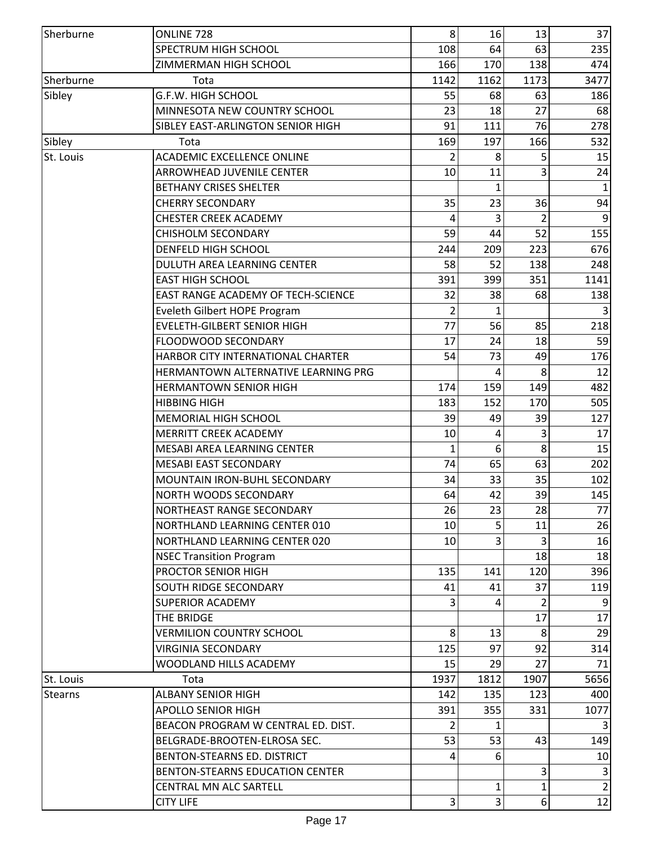| Sherburne | ONLINE 728                               | 8    | 16   | 13   | 37             |
|-----------|------------------------------------------|------|------|------|----------------|
|           | SPECTRUM HIGH SCHOOL                     | 108  | 64   | 63   | 235            |
|           | ZIMMERMAN HIGH SCHOOL                    | 166  | 170  | 138  | 474            |
| Sherburne | Tota                                     | 1142 | 1162 | 1173 | 3477           |
| Sibley    | G.F.W. HIGH SCHOOL                       | 55   | 68   | 63   | 186            |
|           | MINNESOTA NEW COUNTRY SCHOOL             | 23   | 18   | 27   | 68             |
|           | SIBLEY EAST-ARLINGTON SENIOR HIGH        | 91   | 111  | 76   | 278            |
| Sibley    | Tota                                     | 169  | 197  | 166  | 532            |
| St. Louis | <b>ACADEMIC EXCELLENCE ONLINE</b>        | 2    | 8    | 5    | 15             |
|           | <b>ARROWHEAD JUVENILE CENTER</b>         | 10   | 11   | 3    | 24             |
|           | <b>BETHANY CRISES SHELTER</b>            |      | 1    |      | $\mathbf{1}$   |
|           | <b>CHERRY SECONDARY</b>                  | 35   | 23   | 36   | 94             |
|           | <b>CHESTER CREEK ACADEMY</b>             | 4    | 3    | 2    | 9              |
|           | <b>CHISHOLM SECONDARY</b>                | 59   | 44   | 52   | 155            |
|           | <b>DENFELD HIGH SCHOOL</b>               | 244  | 209  | 223  | 676            |
|           | DULUTH AREA LEARNING CENTER              | 58   | 52   | 138  | 248            |
|           | <b>EAST HIGH SCHOOL</b>                  | 391  | 399  | 351  | 1141           |
|           | EAST RANGE ACADEMY OF TECH-SCIENCE       | 32   | 38   | 68   | 138            |
|           | Eveleth Gilbert HOPE Program             | 2    | 1    |      |                |
|           | <b>EVELETH-GILBERT SENIOR HIGH</b>       | 77   | 56   | 85   | 218            |
|           | FLOODWOOD SECONDARY                      | 17   | 24   | 18   | 59             |
|           | <b>HARBOR CITY INTERNATIONAL CHARTER</b> | 54   | 73   | 49   | 176            |
|           | HERMANTOWN ALTERNATIVE LEARNING PRG      |      | 4    | 8    | 12             |
|           | <b>HERMANTOWN SENIOR HIGH</b>            | 174  | 159  | 149  | 482            |
|           | <b>HIBBING HIGH</b>                      | 183  | 152  | 170  | 505            |
|           | <b>MEMORIAL HIGH SCHOOL</b>              | 39   | 49   | 39   | 127            |
|           | <b>MERRITT CREEK ACADEMY</b>             | 10   |      |      | 17             |
|           | <b>MESABI AREA LEARNING CENTER</b>       | 1    | 6    | 8    | 15             |
|           | <b>MESABI EAST SECONDARY</b>             | 74   | 65   | 63   | 202            |
|           | MOUNTAIN IRON-BUHL SECONDARY             | 34   | 33   | 35   | 102            |
|           | <b>NORTH WOODS SECONDARY</b>             | 64   | 42   | 39   | 145            |
|           | NORTHEAST RANGE SECONDARY                | 26   | 23   | 28   | 77             |
|           | NORTHLAND LEARNING CENTER 010            | 10   |      | 11   |                |
|           |                                          | 10   | 3    | 3    | 26             |
|           | NORTHLAND LEARNING CENTER 020            |      |      |      | 16             |
|           | <b>NSEC Transition Program</b>           |      |      | 18   | 18             |
|           | PROCTOR SENIOR HIGH                      | 135  | 141  | 120  | 396            |
|           | SOUTH RIDGE SECONDARY                    | 41   | 41   | 37   | 119            |
|           | <b>SUPERIOR ACADEMY</b>                  | 3    | 4    | 2    |                |
|           | THE BRIDGE                               |      |      | 17   | 17             |
|           | <b>VERMILION COUNTRY SCHOOL</b>          | 8    | 13   | 8    | 29             |
|           | <b>VIRGINIA SECONDARY</b>                | 125  | 97   | 92   | 314            |
|           | WOODLAND HILLS ACADEMY                   | 15   | 29   | 27   | 71             |
| St. Louis | Tota                                     | 1937 | 1812 | 1907 | 5656           |
| Stearns   | <b>ALBANY SENIOR HIGH</b>                | 142  | 135  | 123  | 400            |
|           | <b>APOLLO SENIOR HIGH</b>                | 391  | 355  | 331  | 1077           |
|           | BEACON PROGRAM W CENTRAL ED. DIST.       | 2    | 1    |      | 3              |
|           | BELGRADE-BROOTEN-ELROSA SEC.             | 53   | 53   | 43   | 149            |
|           | BENTON-STEARNS ED. DISTRICT              | 4    | 6    |      | 10             |
|           | BENTON-STEARNS EDUCATION CENTER          |      |      | 3    | 3              |
|           | <b>CENTRAL MN ALC SARTELL</b>            |      | 1    | 1    | $\overline{2}$ |
|           | <b>CITY LIFE</b>                         | 3    | 3    | 6    | 12             |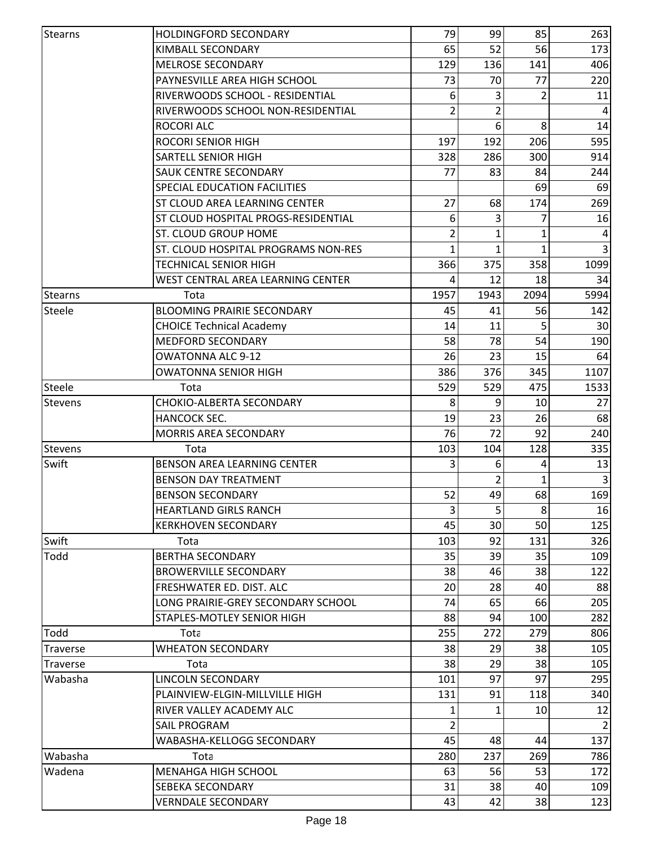| <b>Stearns</b>  | <b>HOLDINGFORD SECONDARY</b>        | 79   | 99           | 85             | 263            |
|-----------------|-------------------------------------|------|--------------|----------------|----------------|
|                 | KIMBALL SECONDARY                   | 65   | 52           | 56             | 173            |
|                 | <b>MELROSE SECONDARY</b>            | 129  | 136          | 141            | 406            |
|                 | PAYNESVILLE AREA HIGH SCHOOL        | 73   | 70           | 77             | 220            |
|                 | RIVERWOODS SCHOOL - RESIDENTIAL     | 6    | 3            |                | 11             |
|                 | RIVERWOODS SCHOOL NON-RESIDENTIAL   | 2    | 2            |                | $\overline{4}$ |
|                 | <b>ROCORI ALC</b>                   |      | 6            | 8              | 14             |
|                 | ROCORI SENIOR HIGH                  | 197  | 192          | 206            | 595            |
|                 | <b>SARTELL SENIOR HIGH</b>          | 328  | 286          | 300            | 914            |
|                 | <b>SAUK CENTRE SECONDARY</b>        | 77   | 83           | 84             | 244            |
|                 | SPECIAL EDUCATION FACILITIES        |      |              | 69             | 69             |
|                 | ST CLOUD AREA LEARNING CENTER       | 27   | 68           | 174            | 269            |
|                 | ST CLOUD HOSPITAL PROGS-RESIDENTIAL | 6    | 3            |                | 16             |
|                 | ST. CLOUD GROUP HOME                | 2    | 1            | 1              | $\overline{a}$ |
|                 | ST. CLOUD HOSPITAL PROGRAMS NON-RES | 1    | $\mathbf{1}$ | 1              | $\overline{3}$ |
|                 | TECHNICAL SENIOR HIGH               | 366  | 375          | 358            | 1099           |
|                 | WEST CENTRAL AREA LEARNING CENTER   | 4    | 12           | 18             | 34             |
| <b>Stearns</b>  | Tota                                | 1957 | 1943         | 2094           | 5994           |
| Steele          | <b>BLOOMING PRAIRIE SECONDARY</b>   | 45   | 41           | 56             | 142            |
|                 | <b>CHOICE Technical Academy</b>     | 14   | 11           |                | 30             |
|                 | <b>MEDFORD SECONDARY</b>            | 58   | 78           | 54             | 190            |
|                 | <b>OWATONNA ALC 9-12</b>            | 26   | 23           | 15             | 64             |
|                 | <b>OWATONNA SENIOR HIGH</b>         | 386  | 376          | 345            | 1107           |
| Steele          | Tota                                | 529  | 529          | 475            | 1533           |
| <b>Stevens</b>  | CHOKIO-ALBERTA SECONDARY            | 8    | 9            | 10             | 27             |
|                 | HANCOCK SEC.                        | 19   | 23           | 26             | 68             |
|                 | MORRIS AREA SECONDARY               | 76   | 72           | 92             | 240            |
| <b>Stevens</b>  | Tota                                | 103  | 104          | 128            | 335            |
| Swift           | <b>BENSON AREA LEARNING CENTER</b>  | 3    | 6            | 4              | 13             |
|                 | <b>BENSON DAY TREATMENT</b>         |      |              |                |                |
|                 | <b>BENSON SECONDARY</b>             | 52   | 49           | 68             | 169            |
|                 | <b>HEARTLAND GIRLS RANCH</b>        | 3    | 5            | 8 <sup>1</sup> | 16             |
|                 | <b>KERKHOVEN SECONDARY</b>          | 45   | 30           | 50             | 125            |
| Swift           | Tota                                | 103  | 92           | 131            | 326            |
| Todd            | <b>BERTHA SECONDARY</b>             | 35   | 39           | 35             | 109            |
|                 | <b>BROWERVILLE SECONDARY</b>        | 38   | 46           | 38             | 122            |
|                 | FRESHWATER ED. DIST. ALC            | 20   | 28           | 40             | 88             |
|                 | LONG PRAIRIE-GREY SECONDARY SCHOOL  | 74   | 65           | 66             | 205            |
|                 | <b>STAPLES-MOTLEY SENIOR HIGH</b>   | 88   | 94           | 100            | 282            |
| Todd            | Tota                                | 255  | 272          | 279            | 806            |
| <b>Traverse</b> | <b>WHEATON SECONDARY</b>            | 38   | 29           | 38             | 105            |
| <b>Traverse</b> | Tota                                | 38   | 29           | 38             | 105            |
| Wabasha         | LINCOLN SECONDARY                   | 101  | 97           | 97             | 295            |
|                 | PLAINVIEW-ELGIN-MILLVILLE HIGH      | 131  | 91           | 118            | 340            |
|                 | RIVER VALLEY ACADEMY ALC            |      |              | 10             | 12             |
|                 | <b>SAIL PROGRAM</b>                 | 2    |              |                | 2              |
|                 | WABASHA-KELLOGG SECONDARY           | 45   | 48           | 44             | 137            |
| Wabasha         | Tota                                | 280  | 237          | 269            | 786            |
| Wadena          | <b>MENAHGA HIGH SCHOOL</b>          | 63   | 56           | 53             | 172            |
|                 | <b>SEBEKA SECONDARY</b>             | 31   | 38           | 40             | 109            |
|                 | <b>VERNDALE SECONDARY</b>           | 43   | 42           | 38             | 123            |
|                 |                                     |      |              |                |                |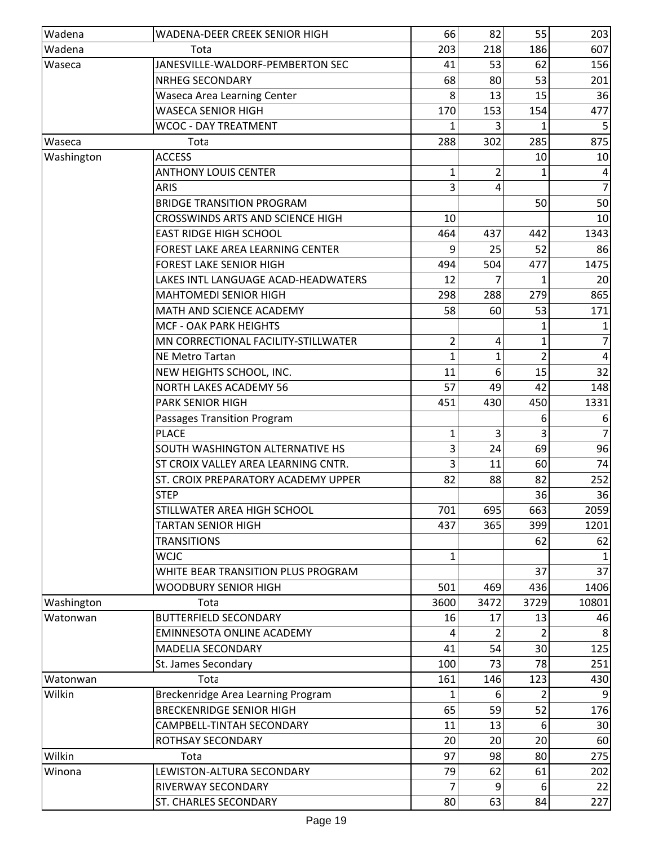| Wadena     | WADENA-DEER CREEK SENIOR HIGH           | 66           | 82           | 55             | 203            |
|------------|-----------------------------------------|--------------|--------------|----------------|----------------|
| Wadena     | Tota                                    | 203          | 218          | 186            | 607            |
| Waseca     | JANESVILLE-WALDORF-PEMBERTON SEC        | 41           | 53           | 62             | 156            |
|            | <b>NRHEG SECONDARY</b>                  | 68           | 80           | 53             | 201            |
|            | <b>Waseca Area Learning Center</b>      | 8            | 13           | 15             | 36             |
|            | <b>WASECA SENIOR HIGH</b>               | 170          | 153          | 154            | 477            |
|            | <b>WCOC - DAY TREATMENT</b>             | 1            |              |                |                |
| Waseca     | Tota                                    | 288          | 302          | 285            | 875            |
| Washington | <b>ACCESS</b>                           |              |              | 10             | 10             |
|            | <b>ANTHONY LOUIS CENTER</b>             | 1            | 2            |                |                |
|            | <b>ARIS</b>                             | 3            | 4            |                | $\overline{7}$ |
|            | <b>BRIDGE TRANSITION PROGRAM</b>        |              |              | 50             | 50             |
|            | <b>CROSSWINDS ARTS AND SCIENCE HIGH</b> | 10           |              |                | 10             |
|            | <b>EAST RIDGE HIGH SCHOOL</b>           | 464          | 437          | 442            | 1343           |
|            | FOREST LAKE AREA LEARNING CENTER        | 9            | 25           | 52             | 86             |
|            | <b>FOREST LAKE SENIOR HIGH</b>          | 494          | 504          | 477            | 1475           |
|            | LAKES INTL LANGUAGE ACAD-HEADWATERS     | 12           |              |                | 20             |
|            | <b>MAHTOMEDI SENIOR HIGH</b>            | 298          | 288          | 279            | 865            |
|            | MATH AND SCIENCE ACADEMY                | 58           | 60           | 53             | 171            |
|            | <b>MCF - OAK PARK HEIGHTS</b>           |              |              |                |                |
|            | MN CORRECTIONAL FACILITY-STILLWATER     | 2            | 4            |                | 7              |
|            | <b>NE Metro Tartan</b>                  | $\mathbf{1}$ | $\mathbf{1}$ | $\overline{2}$ | 4              |
|            | NEW HEIGHTS SCHOOL, INC.                | 11           | 6            | 15             | 32             |
|            | <b>NORTH LAKES ACADEMY 56</b>           | 57           | 49           | 42             | 148            |
|            | <b>PARK SENIOR HIGH</b>                 | 451          | 430          | 450            | 1331           |
|            | Passages Transition Program             |              |              | 6              | 6              |
|            | <b>PLACE</b>                            | 1            | 3            |                | 7              |
|            | SOUTH WASHINGTON ALTERNATIVE HS         | 3            | 24           | 69             | 96             |
|            | ST CROIX VALLEY AREA LEARNING CNTR.     | 3            | 11           | 60             | 74             |
|            | ST. CROIX PREPARATORY ACADEMY UPPER     | 82           | 88           | 82             | 252            |
|            | <b>STEP</b>                             |              |              | 36             | 36             |
|            | STILLWATER AREA HIGH SCHOOL             | 701          | 695          | 663            | 2059           |
|            | TARTAN SENIOR HIGH                      | 437          | 365          | 399            | 1201           |
|            | <b>TRANSITIONS</b>                      |              |              | 62             | 62             |
|            | <b>WCJC</b>                             | 1            |              |                |                |
|            | WHITE BEAR TRANSITION PLUS PROGRAM      |              |              | 37             | 37             |
|            | <b>WOODBURY SENIOR HIGH</b>             | 501          | 469          | 436            | 1406           |
| Washington | Tota                                    | 3600         | 3472         | 3729           | 10801          |
| Watonwan   | <b>BUTTERFIELD SECONDARY</b>            | 16           | 17           | 13             | 46             |
|            | <b>EMINNESOTA ONLINE ACADEMY</b>        |              |              |                |                |
|            | <b>MADELIA SECONDARY</b>                | 41           | 54           | 30             | 125            |
|            | St. James Secondary                     | 100          | 73           | 78             | 251            |
| Watonwan   | Tota                                    | 161          | 146          | 123            | 430            |
| Wilkin     | Breckenridge Area Learning Program      | 1            | 6            |                | q              |
|            | <b>BRECKENRIDGE SENIOR HIGH</b>         | 65           | 59           | 52             | 176            |
|            | CAMPBELL-TINTAH SECONDARY               | 11           | 13           | 6              | 30             |
|            | ROTHSAY SECONDARY                       | 20           | 20           | 20             | 60             |
| Wilkin     | Tota                                    | 97           | 98           | 80             | 275            |
| Winona     | LEWISTON-ALTURA SECONDARY               | 79           | 62           | 61             | 202            |
|            | RIVERWAY SECONDARY                      | 7            | 9            | 6              | 22             |
|            | <b>ST. CHARLES SECONDARY</b>            | 80           | 63           | 84             | 227            |
|            |                                         |              |              |                |                |